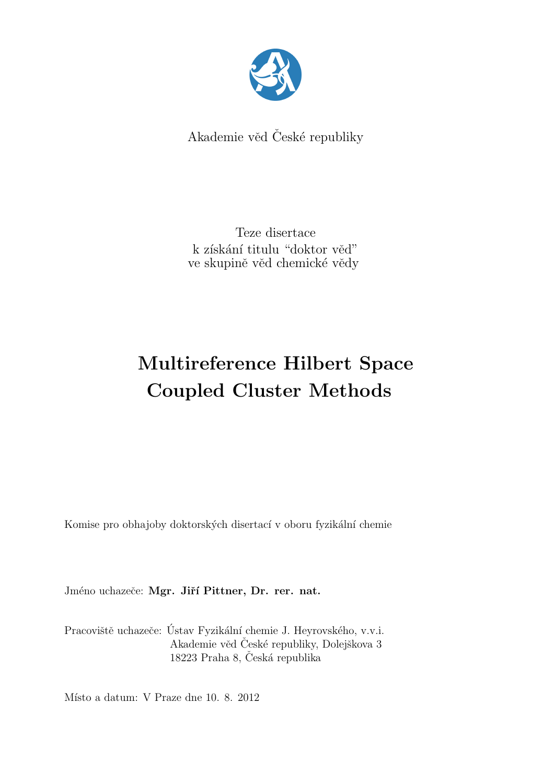

Akademie věd České republiky

Teze disertace k získání titulu "doktor věd" ve skupině věd chemické vědy

# Multireference Hilbert Space Coupled Cluster Methods

Komise pro obhajoby doktorských disertací v oboru fyzikální chemie

Jméno uchazeče: Mgr. Jiří Pittner, Dr. rer. nat.

Pracoviště uchazeče: Ústav Fyzikální chemie J. Heyrovského, v.v.i. Akademie věd České republiky, Dolejškova 3 18223 Praha 8, Česká republika

Místo a datum: V Praze dne 10. 8. 2012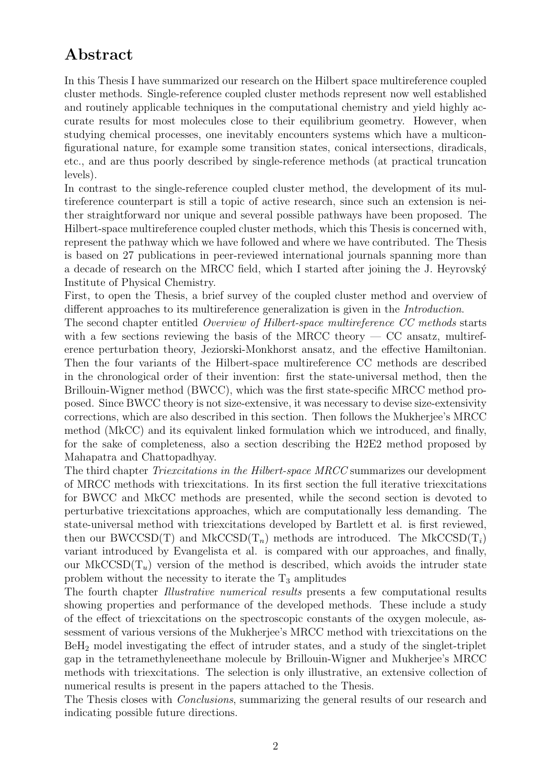## Abstract

In this Thesis I have summarized our research on the Hilbert space multireference coupled cluster methods. Single-reference coupled cluster methods represent now well established and routinely applicable techniques in the computational chemistry and yield highly accurate results for most molecules close to their equilibrium geometry. However, when studying chemical processes, one inevitably encounters systems which have a multiconfigurational nature, for example some transition states, conical intersections, diradicals, etc., and are thus poorly described by single-reference methods (at practical truncation levels).

In contrast to the single-reference coupled cluster method, the development of its multireference counterpart is still a topic of active research, since such an extension is neither straightforward nor unique and several possible pathways have been proposed. The Hilbert-space multireference coupled cluster methods, which this Thesis is concerned with, represent the pathway which we have followed and where we have contributed. The Thesis is based on 27 publications in peer-reviewed international journals spanning more than a decade of research on the MRCC field, which I started after joining the J. Heyrovský Institute of Physical Chemistry.

First, to open the Thesis, a brief survey of the coupled cluster method and overview of different approaches to its multireference generalization is given in the *Introduction*.

The second chapter entitled Overview of Hilbert-space multireference CC methods starts with a few sections reviewing the basis of the MRCC theory  $-$  CC ansatz, multireference perturbation theory, Jeziorski-Monkhorst ansatz, and the effective Hamiltonian. Then the four variants of the Hilbert-space multireference CC methods are described in the chronological order of their invention: first the state-universal method, then the Brillouin-Wigner method (BWCC), which was the first state-specific MRCC method proposed. Since BWCC theory is not size-extensive, it was necessary to devise size-extensivity corrections, which are also described in this section. Then follows the Mukherjee's MRCC method (MkCC) and its equivalent linked formulation which we introduced, and finally, for the sake of completeness, also a section describing the H2E2 method proposed by Mahapatra and Chattopadhyay.

The third chapter *Triexcitations in the Hilbert-space MRCC* summarizes our development of MRCC methods with triexcitations. In its first section the full iterative triexcitations for BWCC and MkCC methods are presented, while the second section is devoted to perturbative triexcitations approaches, which are computationally less demanding. The state-universal method with triexcitations developed by Bartlett et al. is first reviewed, then our BWCCSD(T) and MkCCSD( $T_n$ ) methods are introduced. The MkCCSD( $T_i$ ) variant introduced by Evangelista et al. is compared with our approaches, and finally, our MkCCSD( $T_u$ ) version of the method is described, which avoids the intruder state problem without the necessity to iterate the  $T_3$  amplitudes

The fourth chapter Illustrative numerical results presents a few computational results showing properties and performance of the developed methods. These include a study of the effect of triexcitations on the spectroscopic constants of the oxygen molecule, assessment of various versions of the Mukherjee's MRCC method with triexcitations on the BeH<sup>2</sup> model investigating the effect of intruder states, and a study of the singlet-triplet gap in the tetramethyleneethane molecule by Brillouin-Wigner and Mukherjee's MRCC methods with triexcitations. The selection is only illustrative, an extensive collection of numerical results is present in the papers attached to the Thesis.

The Thesis closes with *Conclusions*, summarizing the general results of our research and indicating possible future directions.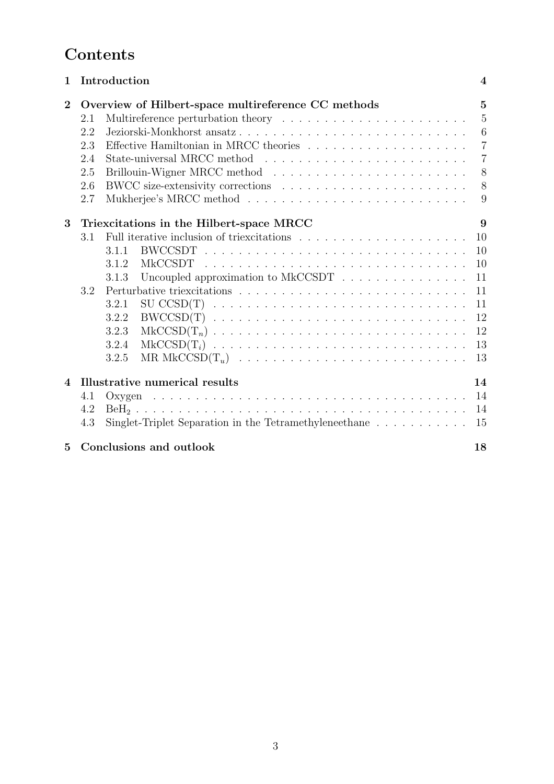## **Contents**

| $\mathbf 1$    |                                                     | Introduction                                                                     |                                                                                            | $\overline{\mathcal{A}}$ |
|----------------|-----------------------------------------------------|----------------------------------------------------------------------------------|--------------------------------------------------------------------------------------------|--------------------------|
| $\overline{2}$ | Overview of Hilbert-space multireference CC methods |                                                                                  |                                                                                            | $\overline{5}$           |
|                | 2.1                                                 |                                                                                  |                                                                                            | $\overline{5}$           |
|                | 2.2                                                 |                                                                                  | Jeziorski-Monkhorst ansatz                                                                 | 6                        |
|                | 2.3                                                 |                                                                                  | Effective Hamiltonian in MRCC theories                                                     | $\overline{7}$           |
|                | 2.4                                                 |                                                                                  |                                                                                            | $\overline{7}$           |
|                | 2.5                                                 |                                                                                  |                                                                                            | 8                        |
|                | 2.6                                                 |                                                                                  |                                                                                            | 8                        |
|                | 2.7                                                 |                                                                                  |                                                                                            | 9                        |
| 3              | Triexcitations in the Hilbert-space MRCC            |                                                                                  |                                                                                            | 9                        |
|                | 3.1                                                 |                                                                                  |                                                                                            | 10                       |
|                |                                                     | 3.1.1                                                                            |                                                                                            | 10                       |
|                |                                                     | 3.1.2                                                                            |                                                                                            | 10                       |
|                |                                                     | 3.1.3                                                                            | Uncoupled approximation to MkCCSDT                                                         | 11                       |
|                | 3.2                                                 |                                                                                  |                                                                                            |                          |
|                |                                                     | 3.2.1                                                                            |                                                                                            | 11                       |
|                |                                                     | 3.2.2                                                                            |                                                                                            | 12                       |
|                |                                                     | 3.2.3                                                                            |                                                                                            | 12                       |
|                |                                                     | 3.2.4                                                                            | $MkCCSD(T_i) \ldots \ldots \ldots \ldots \ldots \ldots \ldots \ldots \ldots \ldots \ldots$ | 13                       |
|                |                                                     | 3.2.5                                                                            |                                                                                            | 13                       |
| $\overline{4}$ | Illustrative numerical results                      |                                                                                  |                                                                                            | 14                       |
|                | 4.1                                                 |                                                                                  |                                                                                            | 14                       |
|                | 4.2                                                 |                                                                                  |                                                                                            | 14                       |
|                | 4.3                                                 | Singlet-Triplet Separation in the Tetramethyleneethane $\dots \dots \dots$<br>15 |                                                                                            |                          |
| 5              | Conclusions and outlook                             |                                                                                  |                                                                                            | 18                       |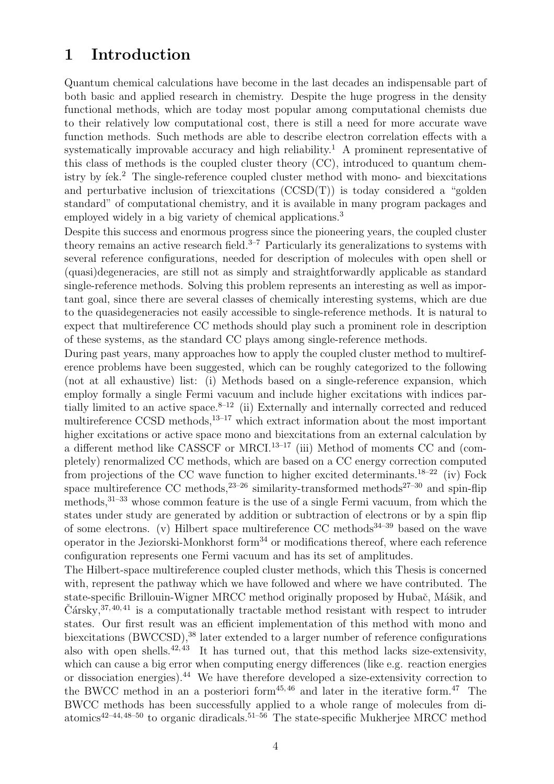## 1 Introduction

Quantum chemical calculations have become in the last decades an indispensable part of both basic and applied research in chemistry. Despite the huge progress in the density functional methods, which are today most popular among computational chemists due to their relatively low computational cost, there is still a need for more accurate wave function methods. Such methods are able to describe electron correlation effects with a systematically improvable accuracy and high reliability.<sup>1</sup> A prominent representative of this class of methods is the coupled cluster theory (CC), introduced to quantum chemistry by  $iek<sup>2</sup>$ . The single-reference coupled cluster method with mono- and biexcitations and perturbative inclusion of triexcitations (CCSD(T)) is today considered a "golden standard" of computational chemistry, and it is available in many program packages and employed widely in a big variety of chemical applications.<sup>3</sup>

Despite this success and enormous progress since the pioneering years, the coupled cluster theory remains an active research field.<sup>3–7</sup> Particularly its generalizations to systems with several reference configurations, needed for description of molecules with open shell or (quasi)degeneracies, are still not as simply and straightforwardly applicable as standard single-reference methods. Solving this problem represents an interesting as well as important goal, since there are several classes of chemically interesting systems, which are due to the quasidegeneracies not easily accessible to single-reference methods. It is natural to expect that multireference CC methods should play such a prominent role in description of these systems, as the standard CC plays among single-reference methods.

During past years, many approaches how to apply the coupled cluster method to multireference problems have been suggested, which can be roughly categorized to the following (not at all exhaustive) list: (i) Methods based on a single-reference expansion, which employ formally a single Fermi vacuum and include higher excitations with indices partially limited to an active space. $8-12$  (ii) Externally and internally corrected and reduced multireference CCSD methods, $13-17$  which extract information about the most important higher excitations or active space mono and biexcitations from an external calculation by a different method like CASSCF or MRCI.<sup>13-17</sup> (iii) Method of moments CC and (completely) renormalized CC methods, which are based on a CC energy correction computed from projections of the CC wave function to higher excited determinants.<sup>18–22</sup> (iv) Fock space multireference CC methods, $23-26$  similarity-transformed methods $27-30$  and spin-flip methods,31–33 whose common feature is the use of a single Fermi vacuum, from which the states under study are generated by addition or subtraction of electrons or by a spin flip of some electrons. (v) Hilbert space multireference CC methods<sup>34–39</sup> based on the wave operator in the Jeziorski-Monkhorst form $34$  or modifications thereof, where each reference configuration represents one Fermi vacuum and has its set of amplitudes.

The Hilbert-space multireference coupled cluster methods, which this Thesis is concerned with, represent the pathway which we have followed and where we have contributed. The state-specific Brillouin-Wigner MRCC method originally proposed by Hubač, Mášik, and  $\check{C}$ ársky,  $37, 40, 41$  is a computationally tractable method resistant with respect to intruder states. Our first result was an efficient implementation of this method with mono and biexcitations (BWCCSD),<sup>38</sup> later extended to a larger number of reference configurations also with open shells.<sup>42, 43</sup> It has turned out, that this method lacks size-extensivity, which can cause a big error when computing energy differences (like e.g. reaction energies or dissociation energies).<sup>44</sup> We have therefore developed a size-extensivity correction to the BWCC method in an a posteriori form $45,46$  and later in the iterative form. $47$  The BWCC methods has been successfully applied to a whole range of molecules from diatomics<sup>42–44, 48–50</sup> to organic diradicals.<sup>51–56</sup> The state-specific Mukherjee MRCC method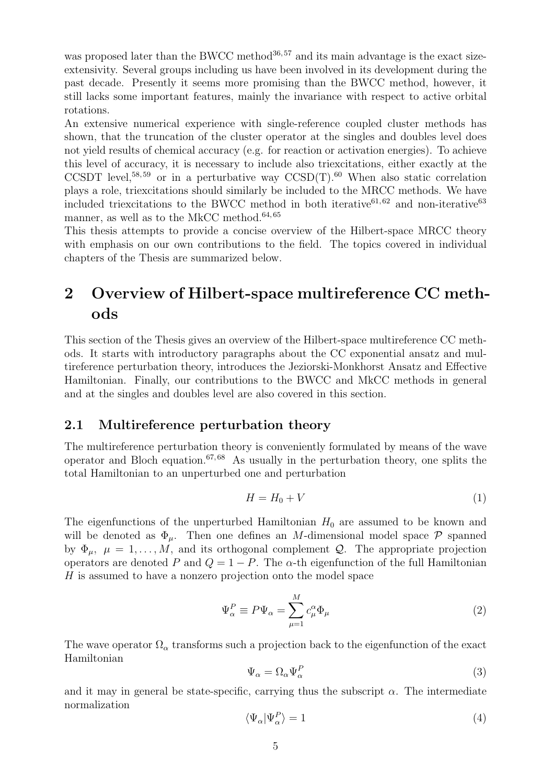was proposed later than the BWCC method<sup>36,57</sup> and its main advantage is the exact sizeextensivity. Several groups including us have been involved in its development during the past decade. Presently it seems more promising than the BWCC method, however, it still lacks some important features, mainly the invariance with respect to active orbital rotations.

An extensive numerical experience with single-reference coupled cluster methods has shown, that the truncation of the cluster operator at the singles and doubles level does not yield results of chemical accuracy (e.g. for reaction or activation energies). To achieve this level of accuracy, it is necessary to include also triexcitations, either exactly at the CCSDT level,<sup>58, 59</sup> or in a perturbative way  $CCSD(T)$ .<sup>60</sup> When also static correlation plays a role, triexcitations should similarly be included to the MRCC methods. We have included triexcitations to the BWCC method in both iterative<sup>61,62</sup> and non-iterative<sup>63</sup> manner, as well as to the MkCC method.<sup>64, 65</sup>

This thesis attempts to provide a concise overview of the Hilbert-space MRCC theory with emphasis on our own contributions to the field. The topics covered in individual chapters of the Thesis are summarized below.

## 2 Overview of Hilbert-space multireference CC methods

This section of the Thesis gives an overview of the Hilbert-space multireference CC methods. It starts with introductory paragraphs about the CC exponential ansatz and multireference perturbation theory, introduces the Jeziorski-Monkhorst Ansatz and Effective Hamiltonian. Finally, our contributions to the BWCC and MkCC methods in general and at the singles and doubles level are also covered in this section.

### 2.1 Multireference perturbation theory

The multireference perturbation theory is conveniently formulated by means of the wave operator and Bloch equation. $67,68$  As usually in the perturbation theory, one splits the total Hamiltonian to an unperturbed one and perturbation

$$
H = H_0 + V \tag{1}
$$

The eigenfunctions of the unperturbed Hamiltonian  $H_0$  are assumed to be known and will be denoted as  $\Phi_{\mu}$ . Then one defines an M-dimensional model space P spanned by  $\Phi_{\mu}, \mu = 1, \ldots, M$ , and its orthogonal complement Q. The appropriate projection operators are denoted P and  $Q = 1 - P$ . The  $\alpha$ -th eigenfunction of the full Hamiltonian H is assumed to have a nonzero projection onto the model space

$$
\Psi_{\alpha}^{P} \equiv P\Psi_{\alpha} = \sum_{\mu=1}^{M} c_{\mu}^{\alpha} \Phi_{\mu}
$$
\n(2)

The wave operator  $\Omega_{\alpha}$  transforms such a projection back to the eigenfunction of the exact Hamiltonian

$$
\Psi_{\alpha} = \Omega_{\alpha} \Psi_{\alpha}^{P} \tag{3}
$$

and it may in general be state-specific, carrying thus the subscript  $\alpha$ . The intermediate normalization

$$
\langle \Psi_{\alpha} | \Psi_{\alpha}^{P} \rangle = 1 \tag{4}
$$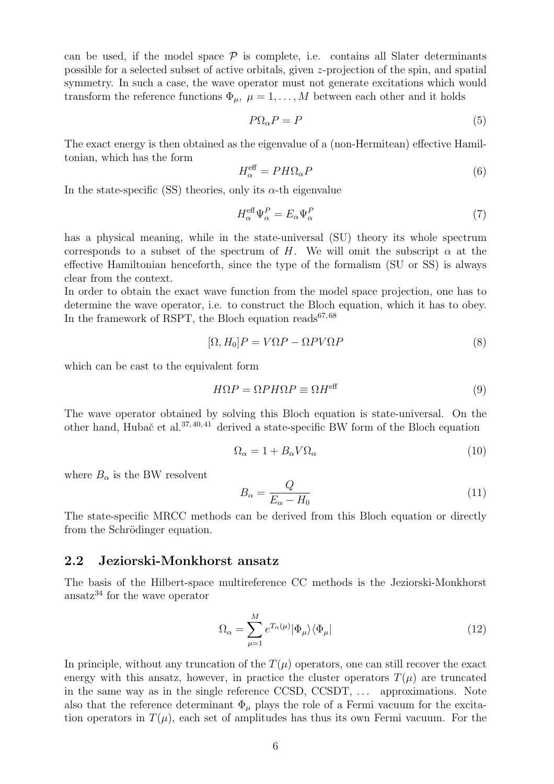can be used, if the model space  $P$  is complete, i.e. contains all Slater determinants possible for a selected subset of active orbitals, given z-projection of the spin, and spatial symmetry. In such a case, the wave operator must not generate excitations which would transform the reference functions  $\Phi_{\mu}, \mu = 1, \ldots, M$  between each other and it holds

$$
P\Omega_{\alpha}P = P \tag{5}
$$

The exact energy is then obtained as the eigenvalue of a (non-Hermitean) effective Hamiltonian, which has the form

$$
H_{\alpha}^{\text{eff}} = PH\Omega_{\alpha}P\tag{6}
$$

In the state-specific (SS) theories, only its  $\alpha$ -th eigenvalue

$$
H_{\alpha}^{\text{eff}}\Psi_{\alpha}^{P} = E_{\alpha}\Psi_{\alpha}^{P}
$$
\n<sup>(7)</sup>

has a physical meaning, while in the state-universal (SU) theory its whole spectrum corresponds to a subset of the spectrum of H. We will omit the subscript  $\alpha$  at the effective Hamiltonian henceforth, since the type of the formalism (SU or SS) is always clear from the context.

In order to obtain the exact wave function from the model space projection, one has to determine the wave operator, i.e. to construct the Bloch equation, which it has to obey. In the framework of RSPT, the Bloch equation reads<sup>67,68</sup>

$$
[\Omega, H_0]P = V\Omega P - \Omega PV\Omega P \tag{8}
$$

which can be cast to the equivalent form

$$
H\Omega P = \Omega PH\Omega P \equiv \Omega H^{\text{eff}} \tag{9}
$$

The wave operator obtained by solving this Bloch equation is state-universal. On the other hand, Hubač et al.<sup>37, 40, 41</sup> derived a state-specific BW form of the Bloch equation

$$
\Omega_{\alpha} = 1 + B_{\alpha} V \Omega_{\alpha} \tag{10}
$$

where  $B_{\alpha}$  is the BW resolvent

$$
B_{\alpha} = \frac{Q}{E_{\alpha} - H_0} \tag{11}
$$

The state-specific MRCC methods can be derived from this Bloch equation or directly from the Schrödinger equation.

#### 2.2 Jeziorski-Monkhorst ansatz

The basis of the Hilbert-space multireference CC methods is the Jeziorski-Monkhorst ansatz<sup>34</sup> for the wave operator

$$
\Omega_{\alpha} = \sum_{\mu=1}^{M} e^{T_{\alpha}(\mu)} |\Phi_{\mu}\rangle \langle \Phi_{\mu}| \tag{12}
$$

In principle, without any truncation of the  $T(\mu)$  operators, one can still recover the exact energy with this ansatz, however, in practice the cluster operators  $T(\mu)$  are truncated in the same way as in the single reference CCSD, CCSDT, ... approximations. Note also that the reference determinant  $\Phi_{\mu}$  plays the role of a Fermi vacuum for the excitation operators in  $T(\mu)$ , each set of amplitudes has thus its own Fermi vacuum. For the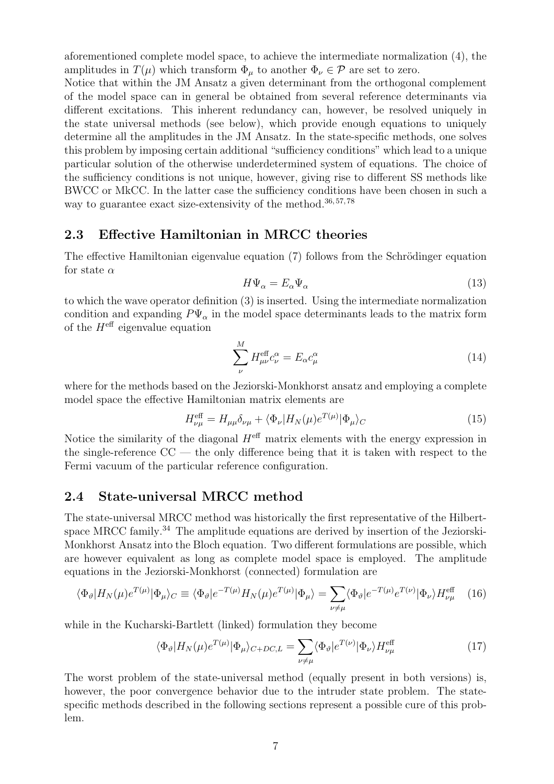aforementioned complete model space, to achieve the intermediate normalization (4), the amplitudes in  $T(\mu)$  which transform  $\Phi_{\mu}$  to another  $\Phi_{\nu} \in \mathcal{P}$  are set to zero.

Notice that within the JM Ansatz a given determinant from the orthogonal complement of the model space can in general be obtained from several reference determinants via different excitations. This inherent redundancy can, however, be resolved uniquely in the state universal methods (see below), which provide enough equations to uniquely determine all the amplitudes in the JM Ansatz. In the state-specific methods, one solves this problem by imposing certain additional "sufficiency conditions" which lead to a unique particular solution of the otherwise underdetermined system of equations. The choice of the sufficiency conditions is not unique, however, giving rise to different SS methods like BWCC or MkCC. In the latter case the sufficiency conditions have been chosen in such a way to guarantee exact size-extensivity of the method.<sup>36,57,78</sup>

### 2.3 Effective Hamiltonian in MRCC theories

The effective Hamiltonian eigenvalue equation (7) follows from the Schrödinger equation for state  $\alpha$ 

$$
H\Psi_{\alpha} = E_{\alpha}\Psi_{\alpha} \tag{13}
$$

to which the wave operator definition (3) is inserted. Using the intermediate normalization condition and expanding  $P\Psi_{\alpha}$  in the model space determinants leads to the matrix form of the  $H^{\text{eff}}$  eigenvalue equation

$$
\sum_{\nu}^{M} H_{\mu\nu}^{\text{eff}} c_{\nu}^{\alpha} = E_{\alpha} c_{\mu}^{\alpha} \tag{14}
$$

where for the methods based on the Jeziorski-Monkhorst ansatz and employing a complete model space the effective Hamiltonian matrix elements are

$$
H_{\nu\mu}^{\text{eff}} = H_{\mu\mu}\delta_{\nu\mu} + \langle \Phi_{\nu} | H_N(\mu)e^{T(\mu)} | \Phi_{\mu} \rangle_C \tag{15}
$$

Notice the similarity of the diagonal  $H^{\text{eff}}$  matrix elements with the energy expression in the single-reference  $CC$  — the only difference being that it is taken with respect to the Fermi vacuum of the particular reference configuration.

### 2.4 State-universal MRCC method

The state-universal MRCC method was historically the first representative of the Hilbertspace MRCC family.<sup>34</sup> The amplitude equations are derived by insertion of the Jeziorski-Monkhorst Ansatz into the Bloch equation. Two different formulations are possible, which are however equivalent as long as complete model space is employed. The amplitude equations in the Jeziorski-Monkhorst (connected) formulation are

$$
\langle \Phi_{\vartheta} | H_N(\mu) e^{T(\mu)} | \Phi_{\mu} \rangle_C \equiv \langle \Phi_{\vartheta} | e^{-T(\mu)} H_N(\mu) e^{T(\mu)} | \Phi_{\mu} \rangle = \sum_{\nu \neq \mu} \langle \Phi_{\vartheta} | e^{-T(\mu)} e^{T(\nu)} | \Phi_{\nu} \rangle H_{\nu\mu}^{\text{eff}} \quad (16)
$$

while in the Kucharski-Bartlett (linked) formulation they become

$$
\langle \Phi_{\vartheta} | H_N(\mu) e^{T(\mu)} | \Phi_{\mu} \rangle_{C+DC,L} = \sum_{\nu \neq \mu} \langle \Phi_{\vartheta} | e^{T(\nu)} | \Phi_{\nu} \rangle H_{\nu\mu}^{\text{eff}} \tag{17}
$$

The worst problem of the state-universal method (equally present in both versions) is, however, the poor convergence behavior due to the intruder state problem. The statespecific methods described in the following sections represent a possible cure of this problem.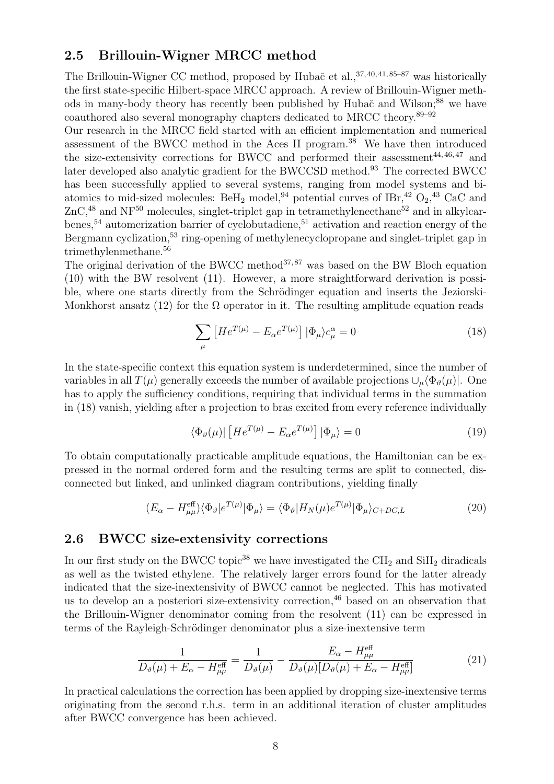### 2.5 Brillouin-Wigner MRCC method

The Brillouin-Wigner CC method, proposed by Hubač et al., <sup>37, 40, 41, 85-87</sup> was historically the first state-specific Hilbert-space MRCC approach. A review of Brillouin-Wigner methods in many-body theory has recently been published by Hubač and Wilson;<sup>88</sup> we have coauthored also several monography chapters dedicated to MRCC theory.89–92

Our research in the MRCC field started with an efficient implementation and numerical assessment of the BWCC method in the Aces II program.<sup>38</sup> We have then introduced the size-extensivity corrections for BWCC and performed their assessment $^{44, 46, 47}$  and later developed also analytic gradient for the BWCCSD method.<sup>93</sup> The corrected BWCC has been successfully applied to several systems, ranging from model systems and biatomics to mid-sized molecules: BeH<sub>2</sub> model,<sup>94</sup> potential curves of IBr,<sup>42</sup>  $\mathrm{O}_2$ ,<sup>43</sup> CaC and  $ZnC<sup>48</sup>$  and NF<sup>50</sup> molecules, singlet-triplet gap in tetramethyleneethane<sup>52</sup> and in alkylcarbenes,<sup>54</sup> automerization barrier of cyclobutadiene,<sup>51</sup> activation and reaction energy of the Bergmann cyclization,<sup>53</sup> ring-opening of methylenecyclopropane and singlet-triplet gap in trimethylenmethane.<sup>56</sup>

The original derivation of the BWCC method<sup>37,87</sup> was based on the BW Bloch equation (10) with the BW resolvent (11). However, a more straightforward derivation is possible, where one starts directly from the Schrödinger equation and inserts the Jeziorski-Monkhorst ansatz (12) for the  $\Omega$  operator in it. The resulting amplitude equation reads

$$
\sum_{\mu} \left[ H e^{T(\mu)} - E_{\alpha} e^{T(\mu)} \right] |\Phi_{\mu}\rangle c_{\mu}^{\alpha} = 0 \tag{18}
$$

In the state-specific context this equation system is underdetermined, since the number of variables in all  $T(\mu)$  generally exceeds the number of available projections  $\cup_{\mu} \langle \Phi_{\vartheta}(\mu)|$ . One has to apply the sufficiency conditions, requiring that individual terms in the summation in (18) vanish, yielding after a projection to bras excited from every reference individually

$$
\langle \Phi_{\vartheta}(\mu) | \left[ H e^{T(\mu)} - E_{\alpha} e^{T(\mu)} \right] | \Phi_{\mu} \rangle = 0 \tag{19}
$$

To obtain computationally practicable amplitude equations, the Hamiltonian can be expressed in the normal ordered form and the resulting terms are split to connected, disconnected but linked, and unlinked diagram contributions, yielding finally

$$
(E_{\alpha} - H_{\mu\mu}^{\text{eff}}) \langle \Phi_{\vartheta} | e^{T(\mu)} | \Phi_{\mu} \rangle = \langle \Phi_{\vartheta} | H_N(\mu) e^{T(\mu)} | \Phi_{\mu} \rangle_{C+DC,L}
$$
(20)

## 2.6 BWCC size-extensivity corrections

In our first study on the BWCC topic<sup>38</sup> we have investigated the  $\text{CH}_2$  and  $\text{SiH}_2$  diradicals as well as the twisted ethylene. The relatively larger errors found for the latter already indicated that the size-inextensivity of BWCC cannot be neglected. This has motivated us to develop an a posteriori size-extensivity correction,  $46$  based on an observation that the Brillouin-Wigner denominator coming from the resolvent (11) can be expressed in terms of the Rayleigh-Schrödinger denominator plus a size-inextensive term

$$
\frac{1}{D_{\vartheta}(\mu) + E_{\alpha} - H_{\mu\mu}^{\text{eff}}} = \frac{1}{D_{\vartheta}(\mu)} - \frac{E_{\alpha} - H_{\mu\mu}^{\text{eff}}}{D_{\vartheta}(\mu)[D_{\vartheta}(\mu) + E_{\alpha} - H_{\mu\mu}^{\text{eff}}]}
$$
(21)

In practical calculations the correction has been applied by dropping size-inextensive terms originating from the second r.h.s. term in an additional iteration of cluster amplitudes after BWCC convergence has been achieved.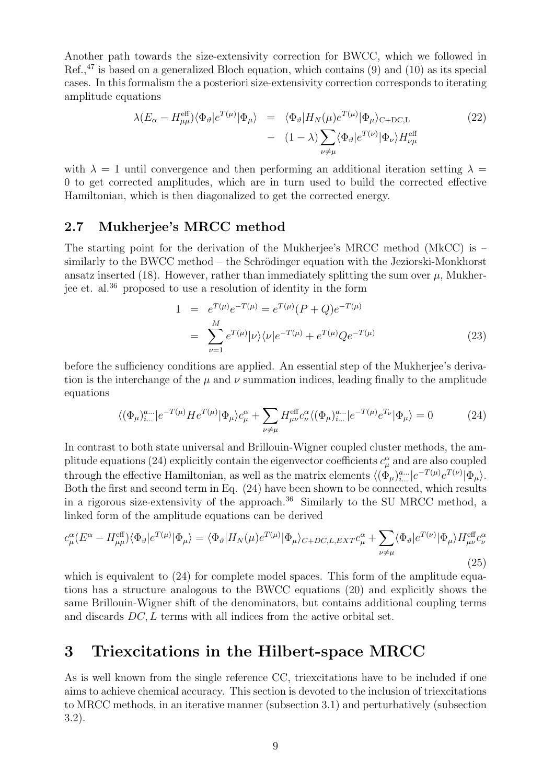Another path towards the size-extensivity correction for BWCC, which we followed in Ref., $47$  is based on a generalized Bloch equation, which contains  $(9)$  and  $(10)$  as its special cases. In this formalism the a posteriori size-extensivity correction corresponds to iterating amplitude equations

$$
\lambda (E_{\alpha} - H_{\mu\mu}^{\text{eff}}) \langle \Phi_{\vartheta} | e^{T(\mu)} | \Phi_{\mu} \rangle = \langle \Phi_{\vartheta} | H_N(\mu) e^{T(\mu)} | \Phi_{\mu} \rangle_{\text{C+DC,L}} - (1 - \lambda) \sum_{\nu \neq \mu} \langle \Phi_{\vartheta} | e^{T(\nu)} | \Phi_{\nu} \rangle H_{\nu\mu}^{\text{eff}}
$$
(22)

with  $\lambda = 1$  until convergence and then performing an additional iteration setting  $\lambda =$ 0 to get corrected amplitudes, which are in turn used to build the corrected effective Hamiltonian, which is then diagonalized to get the corrected energy.

### 2.7 Mukherjee's MRCC method

The starting point for the derivation of the Mukherjee's MRCC method (MkCC) is – similarly to the BWCC method – the Schrödinger equation with the Jeziorski-Monkhorst ansatz inserted (18). However, rather than immediately splitting the sum over  $\mu$ , Mukherjee et. al.<sup>36</sup> proposed to use a resolution of identity in the form

$$
1 = e^{T(\mu)}e^{-T(\mu)} = e^{T(\mu)}(P+Q)e^{-T(\mu)}
$$
  
= 
$$
\sum_{\nu=1}^{M} e^{T(\mu)}|\nu\rangle\langle\nu|e^{-T(\mu)} + e^{T(\mu)}Qe^{-T(\mu)}
$$
 (23)

before the sufficiency conditions are applied. An essential step of the Mukherjee's derivation is the interchange of the  $\mu$  and  $\nu$  summation indices, leading finally to the amplitude equations

$$
\langle (\Phi_{\mu})_{i\ldots}^{a\ldots} | e^{-T(\mu)} H e^{T(\mu)} | \Phi_{\mu} \rangle c_{\mu}^{\alpha} + \sum_{\nu \neq \mu} H_{\mu\nu}^{\text{eff}} c_{\nu}^{\alpha} \langle (\Phi_{\mu})_{i\ldots}^{a\ldots} | e^{-T(\mu)} e^{T_{\nu}} | \Phi_{\mu} \rangle = 0 \tag{24}
$$

In contrast to both state universal and Brillouin-Wigner coupled cluster methods, the amplitude equations (24) explicitly contain the eigenvector coefficients  $c^{\alpha}_{\mu}$  and are also coupled through the effective Hamiltonian, as well as the matrix elements  $\langle (\Phi_\mu)_{i...}^{a...} | e^{-T(\mu)} e^{T(\nu)} | \Phi_\mu \rangle$ . Both the first and second term in Eq. (24) have been shown to be connected, which results in a rigorous size-extensivity of the approach.<sup>36</sup> Similarly to the SU MRCC method, a linked form of the amplitude equations can be derived

$$
c_{\mu}^{\alpha}(E^{\alpha} - H_{\mu\mu}^{\text{eff}}) \langle \Phi_{\vartheta} | e^{T(\mu)} | \Phi_{\mu} \rangle = \langle \Phi_{\vartheta} | H_N(\mu) e^{T(\mu)} | \Phi_{\mu} \rangle_{C+DC, L, EXT} c_{\mu}^{\alpha} + \sum_{\nu \neq \mu} \langle \Phi_{\vartheta} | e^{T(\nu)} | \Phi_{\mu} \rangle H_{\mu\nu}^{\text{eff}} c_{\nu}^{\alpha}
$$
\n(25)

which is equivalent to  $(24)$  for complete model spaces. This form of the amplitude equations has a structure analogous to the BWCC equations (20) and explicitly shows the same Brillouin-Wigner shift of the denominators, but contains additional coupling terms and discards DC, L terms with all indices from the active orbital set.

## 3 Triexcitations in the Hilbert-space MRCC

As is well known from the single reference CC, triexcitations have to be included if one aims to achieve chemical accuracy. This section is devoted to the inclusion of triexcitations to MRCC methods, in an iterative manner (subsection 3.1) and perturbatively (subsection 3.2).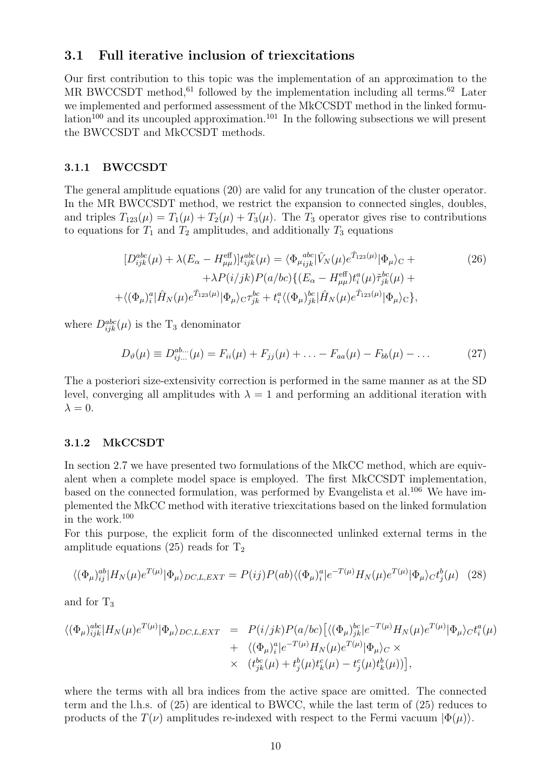### 3.1 Full iterative inclusion of triexcitations

Our first contribution to this topic was the implementation of an approximation to the MR BWCCSDT method,<sup>61</sup> followed by the implementation including all terms.<sup>62</sup> Later we implemented and performed assessment of the MkCCSDT method in the linked formulation<sup>100</sup> and its uncoupled approximation.<sup>101</sup> In the following subsections we will present the BWCCSDT and MkCCSDT methods.

#### 3.1.1 BWCCSDT

The general amplitude equations (20) are valid for any truncation of the cluster operator. In the MR BWCCSDT method, we restrict the expansion to connected singles, doubles, and triples  $T_{123}(\mu) = T_1(\mu) + T_2(\mu) + T_3(\mu)$ . The  $T_3$  operator gives rise to contributions to equations for  $T_1$  and  $T_2$  amplitudes, and additionally  $T_3$  equations

$$
[D_{ijk}^{abc}(\mu) + \lambda (E_{\alpha} - H_{\mu\mu}^{\text{eff}})]t_{ijk}^{abc}(\mu) = \langle \Phi_{\mu}^{abc}_{ijk} | \hat{V}_{N}(\mu)e^{\hat{T}_{123}(\mu)} | \Phi_{\mu} \rangle_{\text{C}} + + \lambda P(i/jk)P(a/bc) \{ (E_{\alpha} - H_{\mu\mu}^{\text{eff}}) t_{i}^{a}(\mu) \tilde{\tau}_{jk}^{bc}(\mu) + + \langle (\Phi_{\mu})_{i}^{a} | \hat{H}_{N}(\mu)e^{\hat{T}_{123}(\mu)} | \Phi_{\mu} \rangle_{\text{C}} \tau_{jk}^{bc} + t_{i}^{a} \langle (\Phi_{\mu})_{jk}^{bc} | \hat{H}_{N}(\mu)e^{\hat{T}_{123}(\mu)} | \Phi_{\mu} \rangle_{\text{C}} \},
$$
(26)

where  $D_{ijk}^{abc}(\mu)$  is the T<sub>3</sub> denominator

$$
D_{\vartheta}(\mu) \equiv D_{ij...}^{ab...}(\mu) = F_{ii}(\mu) + F_{jj}(\mu) + \ldots - F_{aa}(\mu) - F_{bb}(\mu) - \ldots
$$
 (27)

The a posteriori size-extensivity correction is performed in the same manner as at the SD level, converging all amplitudes with  $\lambda = 1$  and performing an additional iteration with  $\lambda = 0$ .

#### 3.1.2 MkCCSDT

In section 2.7 we have presented two formulations of the MkCC method, which are equivalent when a complete model space is employed. The first MkCCSDT implementation, based on the connected formulation, was performed by Evangelista et al.<sup>106</sup> We have implemented the MkCC method with iterative triexcitations based on the linked formulation in the work. $100$ 

For this purpose, the explicit form of the disconnected unlinked external terms in the amplitude equations  $(25)$  reads for  $T_2$ 

$$
\langle (\Phi_{\mu})_{ij}^{ab} | H_N(\mu) e^{T(\mu)} | \Phi_{\mu} \rangle_{DC, L, EXT} = P(ij) P(ab) \langle (\Phi_{\mu})_i^a | e^{-T(\mu)} H_N(\mu) e^{T(\mu)} | \Phi_{\mu} \rangle_C t_j^b(\mu) \tag{28}
$$

and for  $T_3$ 

$$
\langle (\Phi_{\mu})_{ijk}^{abc} | H_N(\mu) e^{T(\mu)} | \Phi_{\mu} \rangle_{DC, L, EXT} = P(i/jk) P(a/bc) \left[ \langle (\Phi_{\mu})_{jk}^{bc} | e^{-T(\mu)} H_N(\mu) e^{T(\mu)} | \Phi_{\mu} \rangle_C t_i^a(\mu) \right. \\ \left. + \langle (\Phi_{\mu})_i^a | e^{-T(\mu)} H_N(\mu) e^{T(\mu)} | \Phi_{\mu} \rangle_C \times \right. \\ \left. \times \left. (t_{jk}^{bc}(\mu) + t_j^b(\mu) t_k^c(\mu) - t_j^c(\mu) t_k^b(\mu) \right) \right],
$$

where the terms with all bra indices from the active space are omitted. The connected term and the l.h.s. of (25) are identical to BWCC, while the last term of (25) reduces to products of the  $T(\nu)$  amplitudes re-indexed with respect to the Fermi vacuum  $|\Phi(\mu)\rangle$ .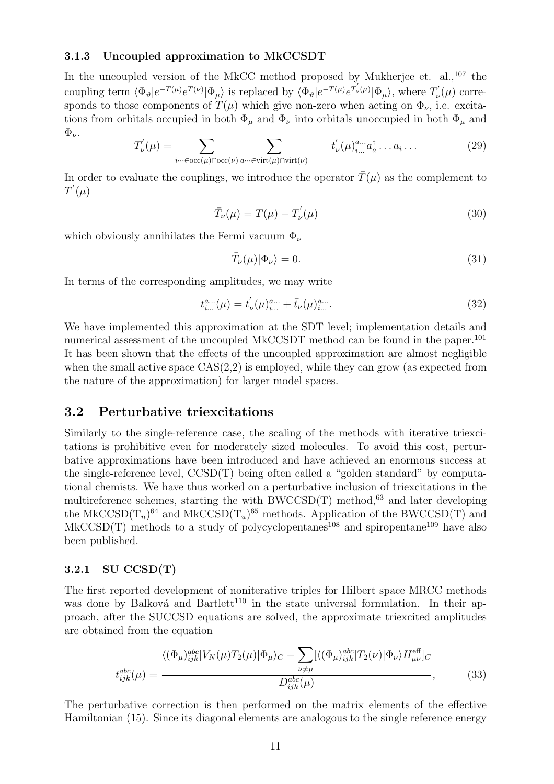#### 3.1.3 Uncoupled approximation to MkCCSDT

In the uncoupled version of the MkCC method proposed by Mukherjee et. al., $^{107}$  the coupling term  $\langle \Phi_{\vartheta} | e^{-T(\mu)} e^{T(\nu)} | \Phi_{\mu} \rangle$  is replaced by  $\langle \Phi_{\vartheta} | e^{-T(\mu)} e^{T(\mu)} | \Phi_{\mu} \rangle$ , where  $T_{\nu}$  $\sigma_{\nu}(\mu)$  corresponds to those components of  $T(\mu)$  which give non-zero when acting on  $\Phi_{\nu}$ , i.e. excitations from orbitals occupied in both  $\Phi_{\mu}$  and  $\Phi_{\nu}$  into orbitals unoccupied in both  $\Phi_{\mu}$  and  $\Phi_{\nu}$ .

$$
T'_{\nu}(\mu) = \sum_{i \cdots \in \text{occ}(\mu) \cap \text{occ}(\nu)} \sum_{a \cdots \in \text{virt}(\mu) \cap \text{virt}(\nu)} t'_{\nu}(\mu)_{i...}^{a...} a_{a}^{\dagger} \dots a_{i} \dots \tag{29}
$$

In order to evaluate the couplings, we introduce the operator  $\bar{T}(\mu)$  as the complement to  $T^{'}(\mu)$ 

$$
\bar{T}_{\nu}(\mu) = T(\mu) - T_{\nu}'(\mu)
$$
\n(30)

which obviously annihilates the Fermi vacuum  $\Phi_{\nu}$ 

$$
\bar{T}_{\nu}(\mu)|\Phi_{\nu}\rangle = 0.\tag{31}
$$

In terms of the corresponding amplitudes, we may write

$$
t_{i...}^{a...}(\mu) = t_{\nu}^{'}(\mu)_{i...}^{a...} + \bar{t}_{\nu}(\mu)_{i...}^{a...}.
$$
\n(32)

We have implemented this approximation at the SDT level; implementation details and numerical assessment of the uncoupled MkCCSDT method can be found in the paper.<sup>101</sup> It has been shown that the effects of the uncoupled approximation are almost negligible when the small active space  $CAS(2,2)$  is employed, while they can grow (as expected from the nature of the approximation) for larger model spaces.

### 3.2 Perturbative triexcitations

Similarly to the single-reference case, the scaling of the methods with iterative triexcitations is prohibitive even for moderately sized molecules. To avoid this cost, perturbative approximations have been introduced and have achieved an enormous success at the single-reference level,  $\text{CCSD}(T)$  being often called a "golden standard" by computational chemists. We have thus worked on a perturbative inclusion of triexcitations in the multireference schemes, starting the with  $\text{BWCCSD}(T)$  method,<sup>63</sup> and later developing the MkCCSD( $T_n$ )<sup>64</sup> and MkCCSD( $T_u$ )<sup>65</sup> methods. Application of the BWCCSD(T) and MkCCSD(T) methods to a study of polycyclopentanes<sup>108</sup> and spiropentane<sup>109</sup> have also been published.

#### 3.2.1 SU CCSD(T)

The first reported development of noniterative triples for Hilbert space MRCC methods was done by Balková and Bartlett<sup>110</sup> in the state universal formulation. In their approach, after the SUCCSD equations are solved, the approximate triexcited amplitudes are obtained from the equation

$$
t_{ijk}^{abc}(\mu) = \frac{\langle (\Phi_{\mu})_{ijk}^{abc} | V_N(\mu) T_2(\mu) | \Phi_{\mu} \rangle_C - \sum_{\nu \neq \mu} [\langle (\Phi_{\mu})_{ijk}^{abc} | T_2(\nu) | \Phi_{\nu} \rangle H_{\mu\nu}^{\text{eff}}]_C}{D_{ijk}^{abc}(\mu)},
$$
(33)

The perturbative correction is then performed on the matrix elements of the effective Hamiltonian (15). Since its diagonal elements are analogous to the single reference energy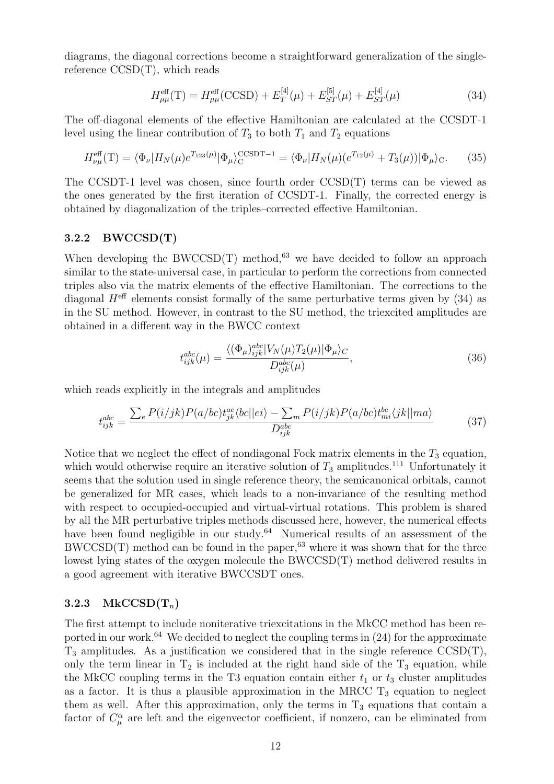diagrams, the diagonal corrections become a straightforward generalization of the singlereference  $CCSD(T)$ , which reads

$$
H_{\mu\mu}^{\text{eff}}(\text{T}) = H_{\mu\mu}^{\text{eff}}(\text{CCSD}) + E_T^{[4]}(\mu) + E_{ST}^{[5]}(\mu) + E_{ST}^{[4]}(\mu)
$$
(34)

The off-diagonal elements of the effective Hamiltonian are calculated at the CCSDT-1 level using the linear contribution of  $T_3$  to both  $T_1$  and  $T_2$  equations

$$
H_{\nu\mu}^{\text{eff}}(\mathbf{T}) = \langle \Phi_{\nu} | H_N(\mu) e^{T_{123}(\mu)} | \Phi_{\mu} \rangle_{\mathcal{C}}^{\text{CCSDT}-1} = \langle \Phi_{\nu} | H_N(\mu) (e^{T_{12}(\mu)} + T_3(\mu)) | \Phi_{\mu} \rangle_{\mathcal{C}}.
$$
 (35)

The CCSDT-1 level was chosen, since fourth order CCSD(T) terms can be viewed as the ones generated by the first iteration of CCSDT-1. Finally, the corrected energy is obtained by diagonalization of the triples–corrected effective Hamiltonian.

#### 3.2.2 BWCCSD(T)

When developing the BWCCSD(T) method,<sup>63</sup> we have decided to follow an approach similar to the state-universal case, in particular to perform the corrections from connected triples also via the matrix elements of the effective Hamiltonian. The corrections to the diagonal  $H^{\text{eff}}$  elements consist formally of the same perturbative terms given by (34) as in the SU method. However, in contrast to the SU method, the triexcited amplitudes are obtained in a different way in the BWCC context

$$
t_{ijk}^{abc}(\mu) = \frac{\langle (\Phi_{\mu})_{ijk}^{abc} | V_N(\mu) T_2(\mu) | \Phi_{\mu} \rangle_C}{D_{ijk}^{abc}(\mu)},
$$
\n(36)

which reads explicitly in the integrals and amplitudes

$$
t_{ijk}^{abc} = \frac{\sum_{e} P(i/jk)P(a/bc)t_{jk}^{ae}\langle bc||ei\rangle - \sum_{m} P(i/jk)P(a/bc)t_{mi}^{bc}\langle jk||ma\rangle}{D_{ijk}^{abc}}
$$
(37)

Notice that we neglect the effect of nondiagonal Fock matrix elements in the  $T_3$  equation, which would otherwise require an iterative solution of  $T_3$  amplitudes.<sup>111</sup> Unfortunately it seems that the solution used in single reference theory, the semicanonical orbitals, cannot be generalized for MR cases, which leads to a non-invariance of the resulting method with respect to occupied-occupied and virtual-virtual rotations. This problem is shared by all the MR perturbative triples methods discussed here, however, the numerical effects have been found negligible in our study.<sup>64</sup> Numerical results of an assessment of the  $BWCCSD(T)$  method can be found in the paper,<sup>63</sup> where it was shown that for the three lowest lying states of the oxygen molecule the BWCCSD(T) method delivered results in a good agreement with iterative BWCCSDT ones.

#### 3.2.3 MkCCSD $(T_n)$

The first attempt to include noniterative triexcitations in the MkCC method has been reported in our work.<sup>64</sup> We decided to neglect the coupling terms in  $(24)$  for the approximate  $T_3$  amplitudes. As a justification we considered that in the single reference  $\text{CCSD}(T)$ , only the term linear in  $T_2$  is included at the right hand side of the  $T_3$  equation, while the MkCC coupling terms in the T3 equation contain either  $t_1$  or  $t_3$  cluster amplitudes as a factor. It is thus a plausible approximation in the MRCC  $T_3$  equation to neglect them as well. After this approximation, only the terms in  $T_3$  equations that contain a factor of  $C_{\mu}^{\alpha}$  are left and the eigenvector coefficient, if nonzero, can be eliminated from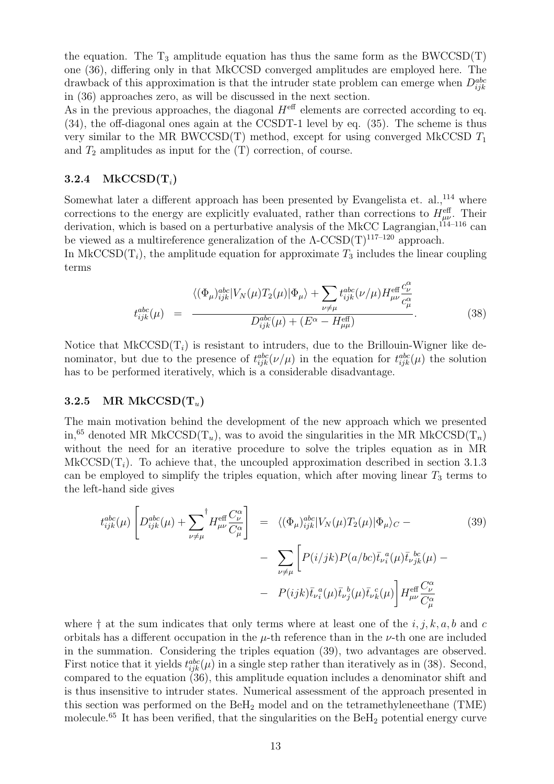the equation. The  $T_3$  amplitude equation has thus the same form as the BWCCSD(T) one (36), differing only in that MkCCSD converged amplitudes are employed here. The drawback of this approximation is that the intruder state problem can emerge when  $D_{ijk}^{abc}$ in (36) approaches zero, as will be discussed in the next section.

As in the previous approaches, the diagonal  $H^{\text{eff}}$  elements are corrected according to eq. (34), the off-diagonal ones again at the CCSDT-1 level by eq. (35). The scheme is thus very similar to the MR BWCCSD(T) method, except for using converged MkCCSD  $T_1$ and  $T_2$  amplitudes as input for the  $(T)$  correction, of course.

#### 3.2.4  $MkCCSD(T_i)$

Somewhat later a different approach has been presented by Evangelista et. al., $^{114}$  where corrections to the energy are explicitly evaluated, rather than corrections to  $H_{\mu\nu}^{\text{eff}}$ . Their derivation, which is based on a perturbative analysis of the MkCC Lagrangian,  $^{114-116}$  can be viewed as a multireference generalization of the  $\Lambda$ -CCSD(T)<sup>117–120</sup> approach.

In MkCCSD( $T_i$ ), the amplitude equation for approximate  $T_3$  includes the linear coupling terms

$$
t_{ijk}^{abc}(\mu) = \frac{\langle (\Phi_{\mu})_{ijk}^{abc} | V_N(\mu) T_2(\mu) | \Phi_{\mu} \rangle + \sum_{\nu \neq \mu} t_{ijk}^{abc} (\nu/\mu) H_{\mu\nu}^{\text{eff}} \frac{c_{\nu}^{\alpha}}{c_{\mu}^{\alpha}}}{D_{ijk}^{abc}(\mu) + (E^{\alpha} - H_{\mu\mu}^{\text{eff}})}.
$$
(38)

Notice that  $MkCCSD(T_i)$  is resistant to intruders, due to the Brillouin-Wigner like denominator, but due to the presence of  $t_{ijk}^{abc}(\nu/\mu)$  in the equation for  $t_{ijk}^{abc}(\mu)$  the solution has to be performed iteratively, which is a considerable disadvantage.

#### 3.2.5 MR MkCCSD $(T_u)$

The main motivation behind the development of the new approach which we presented in,<sup>65</sup> denoted MR MkCCSD( $T_u$ ), was to avoid the singularities in the MR MkCCSD( $T_n$ ) without the need for an iterative procedure to solve the triples equation as in MR MkCCSD( $T_i$ ). To achieve that, the uncoupled approximation described in section 3.1.3 can be employed to simplify the triples equation, which after moving linear  $T_3$  terms to the left-hand side gives

$$
t_{ijk}^{abc}(\mu) \left[ D_{ijk}^{abc}(\mu) + \sum_{\nu \neq \mu}^{\dagger} H_{\mu\nu}^{\text{eff}} \frac{C_{\nu}^{\alpha}}{C_{\mu}^{\alpha}} \right] = \langle (\Phi_{\mu})_{ijk}^{abc} | V_{N}(\mu) T_{2}(\mu) | \Phi_{\mu} \rangle_{C} -
$$
  

$$
- \sum_{\nu \neq \mu} \left[ P(i/jk) P(a/bc) \bar{t}_{\nu}{}^{a}_{i}(\mu) \bar{t}_{\nu}{}^{b}_{jk}(\mu) -
$$
  

$$
- P(ijk) \bar{t}_{\nu}{}^{a}_{i}(\mu) \bar{t}_{\nu}{}^{b}_{j}(\mu) \bar{t}_{\nu}{}^{c}_{k}(\mu) \right] H_{\mu\nu}^{\text{eff}} \frac{C_{\nu}^{\alpha}}{C_{\mu}^{\alpha}}
$$
(39)

where  $\dagger$  at the sum indicates that only terms where at least one of the  $i, j, k, a, b$  and c orbitals has a different occupation in the  $\mu$ -th reference than in the  $\nu$ -th one are included in the summation. Considering the triples equation (39), two advantages are observed. First notice that it yields  $t_{ijk}^{abc}(\mu)$  in a single step rather than iteratively as in (38). Second, compared to the equation  $(36)$ , this amplitude equation includes a denominator shift and is thus insensitive to intruder states. Numerical assessment of the approach presented in this section was performed on the  $B_2$  model and on the tetramethyleneethane (TME) molecule.<sup>65</sup> It has been verified, that the singularities on the BeH<sub>2</sub> potential energy curve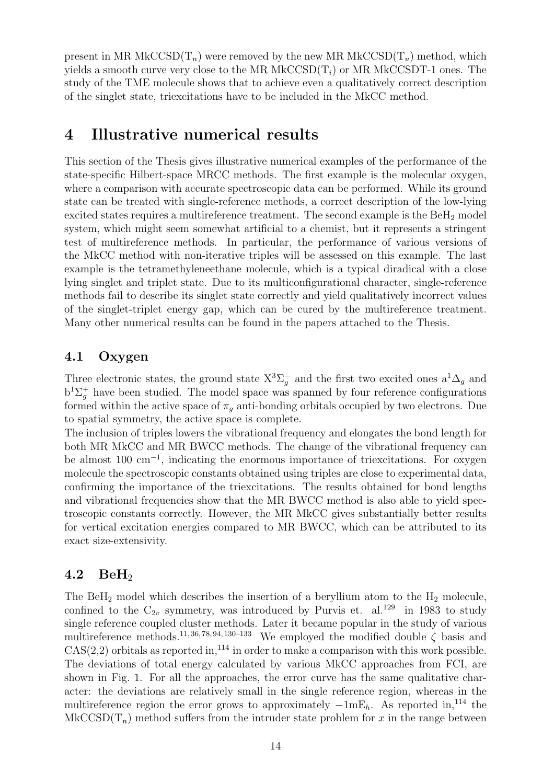present in MR MkCCSD( $T_n$ ) were removed by the new MR MkCCSD( $T_u$ ) method, which yields a smooth curve very close to the MR MkCCSD $(T_i)$  or MR MkCCSDT-1 ones. The study of the TME molecule shows that to achieve even a qualitatively correct description of the singlet state, triexcitations have to be included in the MkCC method.

## 4 Illustrative numerical results

This section of the Thesis gives illustrative numerical examples of the performance of the state-specific Hilbert-space MRCC methods. The first example is the molecular oxygen, where a comparison with accurate spectroscopic data can be performed. While its ground state can be treated with single-reference methods, a correct description of the low-lying excited states requires a multireference treatment. The second example is the BeH<sub>2</sub> model system, which might seem somewhat artificial to a chemist, but it represents a stringent test of multireference methods. In particular, the performance of various versions of the MkCC method with non-iterative triples will be assessed on this example. The last example is the tetramethyleneethane molecule, which is a typical diradical with a close lying singlet and triplet state. Due to its multiconfigurational character, single-reference methods fail to describe its singlet state correctly and yield qualitatively incorrect values of the singlet-triplet energy gap, which can be cured by the multireference treatment. Many other numerical results can be found in the papers attached to the Thesis.

## 4.1 Oxygen

Three electronic states, the ground state  $X^3\Sigma_g^-$  and the first two excited ones  $a^1\Delta_g$  and  $b^{1}\Sigma_{g}^{+}$  have been studied. The model space was spanned by four reference configurations formed within the active space of  $\pi_q$  anti-bonding orbitals occupied by two electrons. Due to spatial symmetry, the active space is complete.

The inclusion of triples lowers the vibrational frequency and elongates the bond length for both MR MkCC and MR BWCC methods. The change of the vibrational frequency can be almost 100 cm<sup>−</sup><sup>1</sup> , indicating the enormous importance of triexcitations. For oxygen molecule the spectroscopic constants obtained using triples are close to experimental data, confirming the importance of the triexcitations. The results obtained for bond lengths and vibrational frequencies show that the MR BWCC method is also able to yield spectroscopic constants correctly. However, the MR MkCC gives substantially better results for vertical excitation energies compared to MR BWCC, which can be attributed to its exact size-extensivity.

## 4.2 BeH<sup>2</sup>

The BeH<sub>2</sub> model which describes the insertion of a beryllium atom to the  $H_2$  molecule, confined to the  $C_{2v}$  symmetry, was introduced by Purvis et. al.<sup>129</sup> in 1983 to study single reference coupled cluster methods. Later it became popular in the study of various multireference methods.<sup>11, 36, 78, 94, 130–133</sup> We employed the modified double  $\zeta$  basis and  $CAS(2,2)$  orbitals as reported in,<sup>114</sup> in order to make a comparison with this work possible. The deviations of total energy calculated by various MkCC approaches from FCI, are shown in Fig. 1. For all the approaches, the error curve has the same qualitative character: the deviations are relatively small in the single reference region, whereas in the multireference region the error grows to approximately  $-1mE_h$ . As reported in,<sup>114</sup> the  $MkCCSD(T_n)$  method suffers from the intruder state problem for x in the range between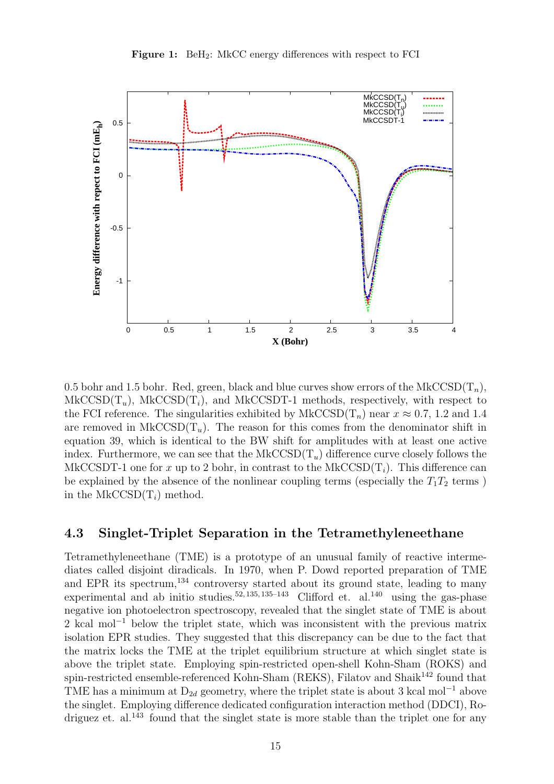

0.5 bohr and 1.5 bohr. Red, green, black and blue curves show errors of the MkCCSD( $T_n$ ),  $MkCCSD(T_u)$ ,  $MkCCSD(T_i)$ , and  $MkCCSDT-1$  methods, respectively, with respect to the FCI reference. The singularities exhibited by  $MkCCSD(T_n)$  near  $x \approx 0.7$ , 1.2 and 1.4 are removed in MkCCSD( $T_u$ ). The reason for this comes from the denominator shift in equation 39, which is identical to the BW shift for amplitudes with at least one active index. Furthermore, we can see that the  $MkCCSD(T_u)$  difference curve closely follows the MkCCSDT-1 one for x up to 2 bohr, in contrast to the MkCCSD( $T_i$ ). This difference can be explained by the absence of the nonlinear coupling terms (especially the  $T_1T_2$  terms) in the MkCCSD $(T_i)$  method.

### 4.3 Singlet-Triplet Separation in the Tetramethyleneethane

Tetramethyleneethane (TME) is a prototype of an unusual family of reactive intermediates called disjoint diradicals. In 1970, when P. Dowd reported preparation of TME and EPR its spectrum,  $134$  controversy started about its ground state, leading to many experimental and ab initio studies.<sup>52, 135, 135–143</sup> Clifford et. al.<sup>140</sup> using the gas-phase negative ion photoelectron spectroscopy, revealed that the singlet state of TME is about 2 kcal mol<sup>-1</sup> below the triplet state, which was inconsistent with the previous matrix isolation EPR studies. They suggested that this discrepancy can be due to the fact that the matrix locks the TME at the triplet equilibrium structure at which singlet state is above the triplet state. Employing spin-restricted open-shell Kohn-Sham (ROKS) and spin-restricted ensemble-referenced Kohn-Sham (REKS), Filatov and Shaik<sup>142</sup> found that TME has a minimum at  $D_{2d}$  geometry, where the triplet state is about 3 kcal mol<sup>-1</sup> above the singlet. Employing difference dedicated configuration interaction method (DDCI), Rodriguez et. al.<sup>143</sup> found that the singlet state is more stable than the triplet one for any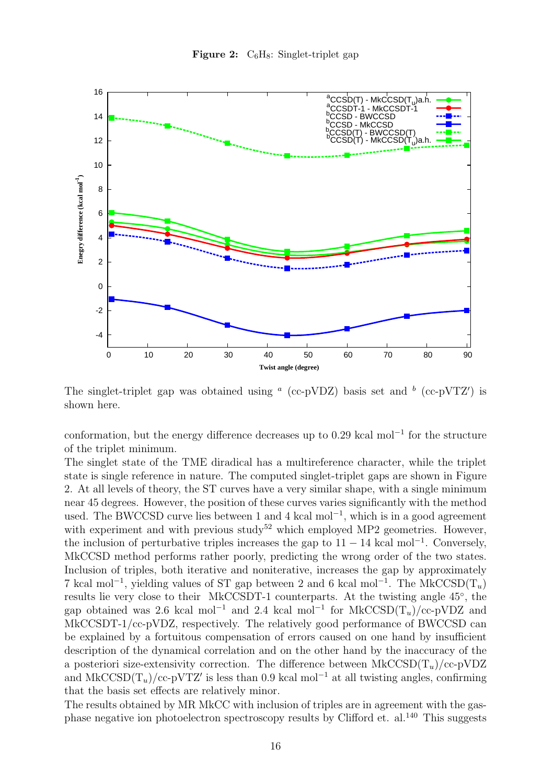



The singlet-triplet gap was obtained using  $\alpha$  (cc-pVDZ) basis set and  $\alpha$  (cc-pVTZ') is shown here.

conformation, but the energy difference decreases up to 0.29 kcal mol<sup>−</sup><sup>1</sup> for the structure of the triplet minimum.

The singlet state of the TME diradical has a multireference character, while the triplet state is single reference in nature. The computed singlet-triplet gaps are shown in Figure 2. At all levels of theory, the ST curves have a very similar shape, with a single minimum near 45 degrees. However, the position of these curves varies significantly with the method used. The BWCCSD curve lies between 1 and 4 kcal mol<sup>−</sup><sup>1</sup> , which is in a good agreement with experiment and with previous study<sup>52</sup> which employed MP2 geometries. However, the inclusion of perturbative triples increases the gap to  $11 - 14$  kcal mol<sup>-1</sup>. Conversely, MkCCSD method performs rather poorly, predicting the wrong order of the two states. Inclusion of triples, both iterative and noniterative, increases the gap by approximately 7 kcal mol<sup>-1</sup>, yielding values of ST gap between 2 and 6 kcal mol<sup>-1</sup>. The MkCCSD(T<sub>u</sub>) results lie very close to their MkCCSDT-1 counterparts. At the twisting angle 45◦ , the gap obtained was 2.6 kcal mol<sup>-1</sup> and 2.4 kcal mol<sup>-1</sup> for MkCCSD(T<sub>u</sub>)/cc-pVDZ and MkCCSDT-1/cc-pVDZ, respectively. The relatively good performance of BWCCSD can be explained by a fortuitous compensation of errors caused on one hand by insufficient description of the dynamical correlation and on the other hand by the inaccuracy of the a posteriori size-extensivity correction. The difference between  $MkCCSD(T_u)/cc-pVDZ$ and MkCCSD( $T_u$ )/cc-pVTZ' is less than 0.9 kcal mol<sup>-1</sup> at all twisting angles, confirming that the basis set effects are relatively minor.

The results obtained by MR MkCC with inclusion of triples are in agreement with the gasphase negative ion photoelectron spectroscopy results by Clifford et. al.<sup>140</sup> This suggests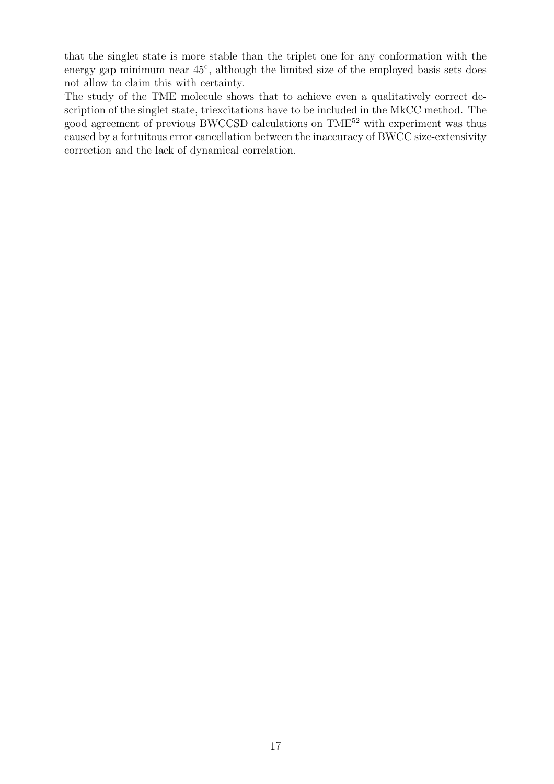that the singlet state is more stable than the triplet one for any conformation with the energy gap minimum near  $45^{\circ}$ , although the limited size of the employed basis sets does not allow to claim this with certainty.

The study of the TME molecule shows that to achieve even a qualitatively correct description of the singlet state, triexcitations have to be included in the MkCC method. The good agreement of previous BWCCSD calculations on TME<sup>52</sup> with experiment was thus caused by a fortuitous error cancellation between the inaccuracy of BWCC size-extensivity correction and the lack of dynamical correlation.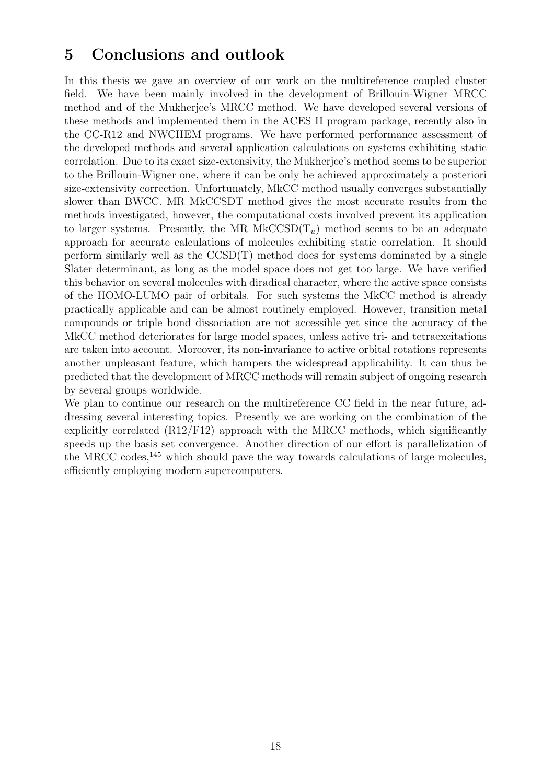## 5 Conclusions and outlook

In this thesis we gave an overview of our work on the multireference coupled cluster field. We have been mainly involved in the development of Brillouin-Wigner MRCC method and of the Mukherjee's MRCC method. We have developed several versions of these methods and implemented them in the ACES II program package, recently also in the CC-R12 and NWCHEM programs. We have performed performance assessment of the developed methods and several application calculations on systems exhibiting static correlation. Due to its exact size-extensivity, the Mukherjee's method seems to be superior to the Brillouin-Wigner one, where it can be only be achieved approximately a posteriori size-extensivity correction. Unfortunately, MkCC method usually converges substantially slower than BWCC. MR MkCCSDT method gives the most accurate results from the methods investigated, however, the computational costs involved prevent its application to larger systems. Presently, the MR MkCCSD $(T_u)$  method seems to be an adequate approach for accurate calculations of molecules exhibiting static correlation. It should perform similarly well as the  $CCSD(T)$  method does for systems dominated by a single Slater determinant, as long as the model space does not get too large. We have verified this behavior on several molecules with diradical character, where the active space consists of the HOMO-LUMO pair of orbitals. For such systems the MkCC method is already practically applicable and can be almost routinely employed. However, transition metal compounds or triple bond dissociation are not accessible yet since the accuracy of the MkCC method deteriorates for large model spaces, unless active tri- and tetraexcitations are taken into account. Moreover, its non-invariance to active orbital rotations represents another unpleasant feature, which hampers the widespread applicability. It can thus be predicted that the development of MRCC methods will remain subject of ongoing research by several groups worldwide.

We plan to continue our research on the multireference CC field in the near future, addressing several interesting topics. Presently we are working on the combination of the explicitly correlated (R12/F12) approach with the MRCC methods, which significantly speeds up the basis set convergence. Another direction of our effort is parallelization of the MRCC codes,<sup>145</sup> which should pave the way towards calculations of large molecules, efficiently employing modern supercomputers.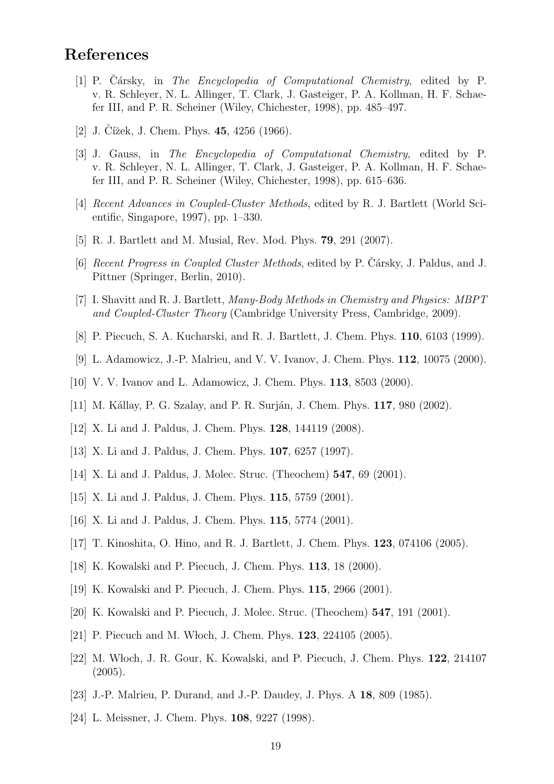## References

- [1] P. Cársky, in *The Encyclopedia of Computational Chemistry*, edited by P. v. R. Schleyer, N. L. Allinger, T. Clark, J. Gasteiger, P. A. Kollman, H. F. Schaefer III, and P. R. Scheiner (Wiley, Chichester, 1998), pp. 485–497.
- [2] J. Cížek, J. Chem. Phys.  $45, 4256$  (1966).
- [3] J. Gauss, in The Encyclopedia of Computational Chemistry, edited by P. v. R. Schleyer, N. L. Allinger, T. Clark, J. Gasteiger, P. A. Kollman, H. F. Schaefer III, and P. R. Scheiner (Wiley, Chichester, 1998), pp. 615–636.
- [4] Recent Advances in Coupled-Cluster Methods, edited by R. J. Bartlett (World Scientific, Singapore, 1997), pp. 1–330.
- [5] R. J. Bartlett and M. Musial, Rev. Mod. Phys. 79, 291 (2007).
- [6] Recent Progress in Coupled Cluster Methods, edited by P. Čársky, J. Paldus, and J. Pittner (Springer, Berlin, 2010).
- [7] I. Shavitt and R. J. Bartlett, Many-Body Methods in Chemistry and Physics: MBPT and Coupled-Cluster Theory (Cambridge University Press, Cambridge, 2009).
- [8] P. Piecuch, S. A. Kucharski, and R. J. Bartlett, J. Chem. Phys. 110, 6103 (1999).
- [9] L. Adamowicz, J.-P. Malrieu, and V. V. Ivanov, J. Chem. Phys. 112, 10075 (2000).
- [10] V. V. Ivanov and L. Adamowicz, J. Chem. Phys. 113, 8503 (2000).
- [11] M. Kállay, P. G. Szalay, and P. R. Surján, J. Chem. Phys. 117, 980 (2002).
- [12] X. Li and J. Paldus, J. Chem. Phys. 128, 144119 (2008).
- [13] X. Li and J. Paldus, J. Chem. Phys. 107, 6257 (1997).
- [14] X. Li and J. Paldus, J. Molec. Struc. (Theochem) 547, 69 (2001).
- [15] X. Li and J. Paldus, J. Chem. Phys. 115, 5759 (2001).
- [16] X. Li and J. Paldus, J. Chem. Phys. 115, 5774 (2001).
- [17] T. Kinoshita, O. Hino, and R. J. Bartlett, J. Chem. Phys. 123, 074106 (2005).
- [18] K. Kowalski and P. Piecuch, J. Chem. Phys. 113, 18 (2000).
- [19] K. Kowalski and P. Piecuch, J. Chem. Phys. 115, 2966 (2001).
- [20] K. Kowalski and P. Piecuch, J. Molec. Struc. (Theochem) 547, 191 (2001).
- [21] P. Piecuch and M. Włoch, J. Chem. Phys. **123**, 224105 (2005).
- [22] M. W loch, J. R. Gour, K. Kowalski, and P. Piecuch, J. Chem. Phys. 122, 214107  $(2005).$
- [23] J.-P. Malrieu, P. Durand, and J.-P. Daudey, J. Phys. A 18, 809 (1985).
- [24] L. Meissner, J. Chem. Phys. 108, 9227 (1998).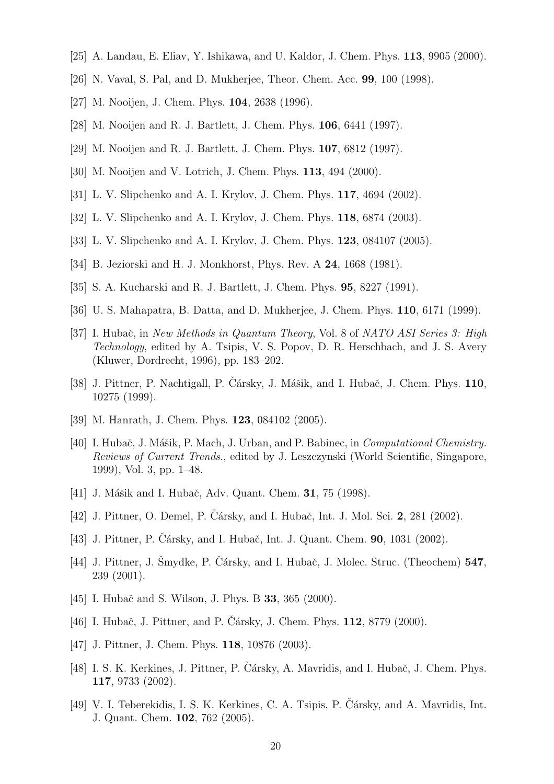- [25] A. Landau, E. Eliav, Y. Ishikawa, and U. Kaldor, J. Chem. Phys. 113, 9905 (2000).
- [26] N. Vaval, S. Pal, and D. Mukherjee, Theor. Chem. Acc. 99, 100 (1998).
- [27] M. Nooijen, J. Chem. Phys. **104**, 2638 (1996).
- [28] M. Nooijen and R. J. Bartlett, J. Chem. Phys. 106, 6441 (1997).
- [29] M. Nooijen and R. J. Bartlett, J. Chem. Phys. 107, 6812 (1997).
- [30] M. Nooijen and V. Lotrich, J. Chem. Phys. **113**, 494 (2000).
- [31] L. V. Slipchenko and A. I. Krylov, J. Chem. Phys. 117, 4694 (2002).
- [32] L. V. Slipchenko and A. I. Krylov, J. Chem. Phys. 118, 6874 (2003).
- [33] L. V. Slipchenko and A. I. Krylov, J. Chem. Phys. 123, 084107 (2005).
- [34] B. Jeziorski and H. J. Monkhorst, Phys. Rev. A 24, 1668 (1981).
- [35] S. A. Kucharski and R. J. Bartlett, J. Chem. Phys. 95, 8227 (1991).
- [36] U. S. Mahapatra, B. Datta, and D. Mukherjee, J. Chem. Phys. 110, 6171 (1999).
- [37] I. Hubač, in New Methods in Quantum Theory, Vol. 8 of NATO ASI Series 3: High Technology, edited by A. Tsipis, V. S. Popov, D. R. Herschbach, and J. S. Avery (Kluwer, Dordrecht, 1996), pp. 183–202.
- [38] J. Pittner, P. Nachtigall, P. Čársky, J. Mášik, and I. Hubač, J. Chem. Phys. 110, 10275 (1999).
- [39] M. Hanrath, J. Chem. Phys. 123, 084102 (2005).
- [40] I. Hubač, J. Mášik, P. Mach, J. Urban, and P. Babinec, in *Computational Chemistry*. Reviews of Current Trends., edited by J. Leszczynski (World Scientific, Singapore, 1999), Vol. 3, pp. 1–48.
- [41] J. Mášik and I. Hubač, Adv. Quant. Chem. **31**, 75 (1998).
- [42] J. Pittner, O. Demel, P. Cársky, and I. Hubač, Int. J. Mol. Sci. 2, 281 (2002).
- [43] J. Pittner, P. Čársky, and I. Hubač, Int. J. Quant. Chem.  $90$ , 1031 (2002).
- [44] J. Pittner, J. Smydke, P. Cársky, and I. Hubač, J. Molec. Struc. (Theochem) 547, 239 (2001).
- [45] I. Hubač and S. Wilson, J. Phys. B **33**, 365 (2000).
- [46] I. Hubač, J. Pittner, and P. Cársky, J. Chem. Phys.  $112$ , 8779 (2000).
- [47] J. Pittner, J. Chem. Phys. **118**, 10876 (2003).
- [48] I. S. K. Kerkines, J. Pittner, P. Cársky, A. Mavridis, and I. Hubač, J. Chem. Phys. 117, 9733 (2002).
- [49] V. I. Teberekidis, I. S. K. Kerkines, C. A. Tsipis, P. Čársky, and A. Mavridis, Int. J. Quant. Chem. 102, 762 (2005).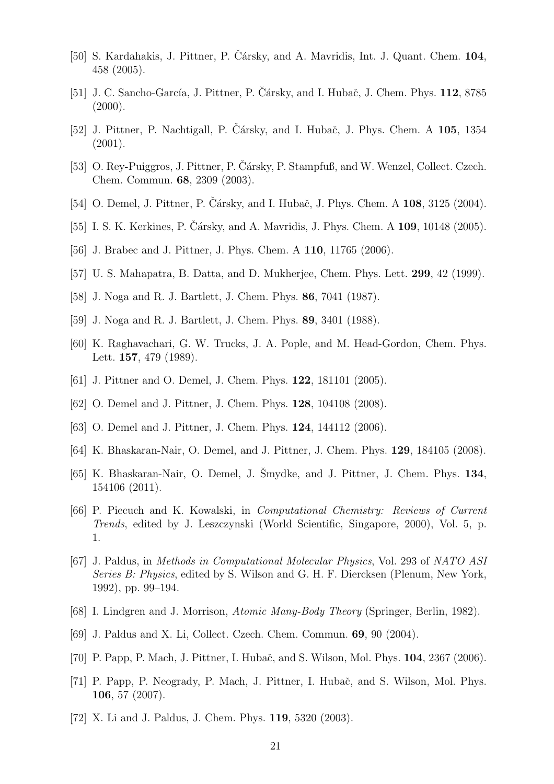- [50] S. Kardahakis, J. Pittner, P. Čársky, and A. Mavridis, Int. J. Quant. Chem. 104, 458 (2005).
- [51] J. C. Sancho-García, J. Pittner, P. Čársky, and I. Hubač, J. Chem. Phys.  $112$ , 8785  $(2000).$
- [52] J. Pittner, P. Nachtigall, P. Čársky, and I. Hubač, J. Phys. Chem. A 105, 1354  $(2001).$
- [53] O. Rey-Puiggros, J. Pittner, P. Čársky, P. Stampfuß, and W. Wenzel, Collect. Czech. Chem. Commun. 68, 2309 (2003).
- [54] O. Demel, J. Pittner, P. Cársky, and I. Hubač, J. Phys. Chem. A **108**, 3125 (2004).
- [55] I. S. K. Kerkines, P. Cársky, and A. Mavridis, J. Phys. Chem. A  $109$ ,  $10148$  (2005).
- [56] J. Brabec and J. Pittner, J. Phys. Chem. A 110, 11765 (2006).
- [57] U. S. Mahapatra, B. Datta, and D. Mukherjee, Chem. Phys. Lett. 299, 42 (1999).
- [58] J. Noga and R. J. Bartlett, J. Chem. Phys. 86, 7041 (1987).
- [59] J. Noga and R. J. Bartlett, J. Chem. Phys. 89, 3401 (1988).
- [60] K. Raghavachari, G. W. Trucks, J. A. Pople, and M. Head-Gordon, Chem. Phys. Lett. 157, 479 (1989).
- [61] J. Pittner and O. Demel, J. Chem. Phys. **122**, 181101 (2005).
- [62] O. Demel and J. Pittner, J. Chem. Phys. **128**, 104108 (2008).
- [63] O. Demel and J. Pittner, J. Chem. Phys. **124**, 144112 (2006).
- [64] K. Bhaskaran-Nair, O. Demel, and J. Pittner, J. Chem. Phys. 129, 184105 (2008).
- [65] K. Bhaskaran-Nair, O. Demel, J. Šmydke, and J. Pittner, J. Chem. Phys.  $134$ , 154106 (2011).
- [66] P. Piecuch and K. Kowalski, in Computational Chemistry: Reviews of Current Trends, edited by J. Leszczynski (World Scientific, Singapore, 2000), Vol. 5, p. 1.
- [67] J. Paldus, in Methods in Computational Molecular Physics, Vol. 293 of NATO ASI Series B: Physics, edited by S. Wilson and G. H. F. Diercksen (Plenum, New York, 1992), pp. 99–194.
- [68] I. Lindgren and J. Morrison, Atomic Many-Body Theory (Springer, Berlin, 1982).
- [69] J. Paldus and X. Li, Collect. Czech. Chem. Commun. 69, 90 (2004).
- [70] P. Papp, P. Mach, J. Pittner, I. Hubač, and S. Wilson, Mol. Phys. **104**, 2367 (2006).
- [71] P. Papp, P. Neogrady, P. Mach, J. Pittner, I. Hubač, and S. Wilson, Mol. Phys. 106, 57 (2007).
- [72] X. Li and J. Paldus, J. Chem. Phys. 119, 5320 (2003).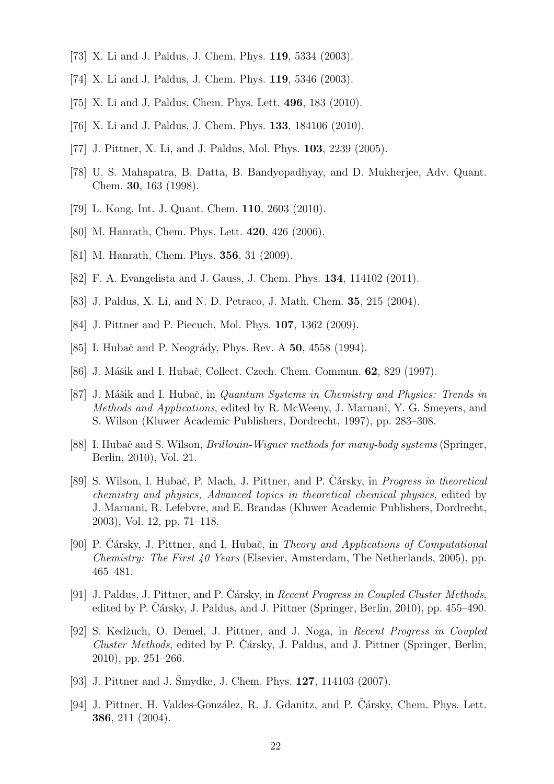- [73] X. Li and J. Paldus, J. Chem. Phys. 119, 5334 (2003).
- [74] X. Li and J. Paldus, J. Chem. Phys. 119, 5346 (2003).
- [75] X. Li and J. Paldus, Chem. Phys. Lett. 496, 183 (2010).
- [76] X. Li and J. Paldus, J. Chem. Phys. 133, 184106 (2010).
- [77] J. Pittner, X. Li, and J. Paldus, Mol. Phys. **103**, 2239 (2005).
- [78] U. S. Mahapatra, B. Datta, B. Bandyopadhyay, and D. Mukherjee, Adv. Quant. Chem. 30, 163 (1998).
- [79] L. Kong, Int. J. Quant. Chem. 110, 2603 (2010).
- [80] M. Hanrath, Chem. Phys. Lett. **420**, 426 (2006).
- [81] M. Hanrath, Chem. Phys. **356**, 31 (2009).
- [82] F. A. Evangelista and J. Gauss, J. Chem. Phys. 134, 114102 (2011).
- [83] J. Paldus, X. Li, and N. D. Petraco, J. Math. Chem. 35, 215 (2004).
- [84] J. Pittner and P. Piecuch, Mol. Phys. **107**, 1362 (2009).
- [85] I. Hubač and P. Neogrády, Phys. Rev. A 50, 4558 (1994).
- [86] J. Mášik and I. Hubač, Collect. Czech. Chem. Commun. **62**, 829 (1997).
- [87] J. Mášik and I. Hubač, in *Quantum Systems in Chemistry and Physics: Trends in* Methods and Applications, edited by R. McWeeny, J. Maruani, Y. G. Smeyers, and S. Wilson (Kluwer Academic Publishers, Dordrecht, 1997), pp. 283–308.
- [88] I. Hubač and S. Wilson, *Brillouin-Wigner methods for many-body systems* (Springer, Berlin, 2010), Vol. 21.
- [89] S. Wilson, I. Hubač, P. Mach, J. Pittner, and P. Cársky, in *Progress in theoretical* chemistry and physics, Advanced topics in theoretical chemical physics, edited by J. Maruani, R. Lefebvre, and E. Brandas (Kluwer Academic Publishers, Dordrecht, 2003), Vol. 12, pp. 71–118.
- [90] P. Cársky, J. Pittner, and I. Hubač, in *Theory and Applications of Computational* Chemistry: The First 40 Years (Elsevier, Amsterdam, The Netherlands, 2005), pp. 465–481.
- [91] J. Paldus, J. Pittner, and P. Čársky, in Recent Progress in Coupled Cluster Methods, edited by P. Cársky, J. Paldus, and J. Pittner (Springer, Berlin, 2010), pp.  $455-490$ .
- [92] S. Kedžuch, O. Demel, J. Pittner, and J. Noga, in Recent Progress in Coupled  $Cluster Methods$ , edited by P. Cársky, J. Paldus, and J. Pittner (Springer, Berlin, 2010), pp. 251–266.
- [93] J. Pittner and J. Šmydke, J. Chem. Phys.  $127$ ,  $114103$  (2007).
- [94] J. Pittner, H. Valdes-González, R. J. Gdanitz, and P. Cársky, Chem. Phys. Lett. 386, 211 (2004).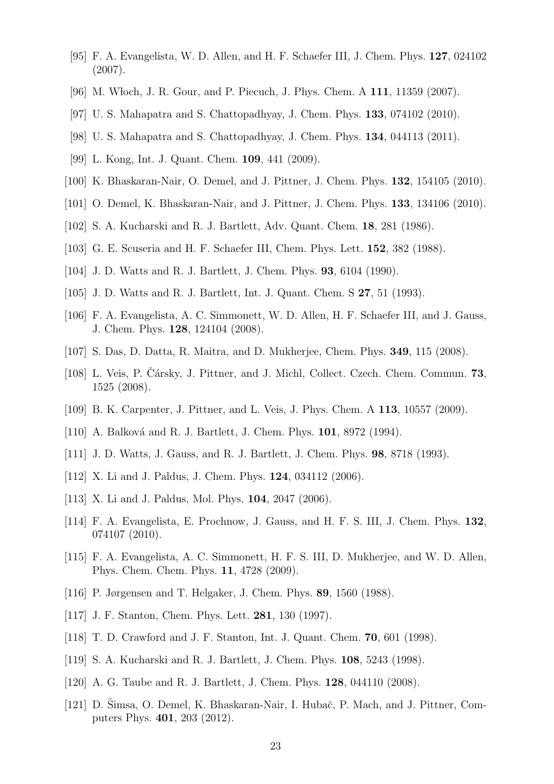- [95] F. A. Evangelista, W. D. Allen, and H. F. Schaefer III, J. Chem. Phys. 127, 024102 (2007).
- [96] M. W loch, J. R. Gour, and P. Piecuch, J. Phys. Chem. A 111, 11359 (2007).
- [97] U. S. Mahapatra and S. Chattopadhyay, J. Chem. Phys. 133, 074102 (2010).
- [98] U. S. Mahapatra and S. Chattopadhyay, J. Chem. Phys. 134, 044113 (2011).
- [99] L. Kong, Int. J. Quant. Chem. 109, 441 (2009).
- [100] K. Bhaskaran-Nair, O. Demel, and J. Pittner, J. Chem. Phys. **132**, 154105 (2010).
- [101] O. Demel, K. Bhaskaran-Nair, and J. Pittner, J. Chem. Phys. 133, 134106 (2010).
- [102] S. A. Kucharski and R. J. Bartlett, Adv. Quant. Chem. 18, 281 (1986).
- [103] G. E. Scuseria and H. F. Schaefer III, Chem. Phys. Lett. 152, 382 (1988).
- [104] J. D. Watts and R. J. Bartlett, J. Chem. Phys. 93, 6104 (1990).
- [105] J. D. Watts and R. J. Bartlett, Int. J. Quant. Chem. S 27, 51 (1993).
- [106] F. A. Evangelista, A. C. Simmonett, W. D. Allen, H. F. Schaefer III, and J. Gauss, J. Chem. Phys. 128, 124104 (2008).
- [107] S. Das, D. Datta, R. Maitra, and D. Mukherjee, Chem. Phys. 349, 115 (2008).
- [108] L. Veis, P. Cársky, J. Pittner, and J. Michl, Collect. Czech. Chem. Commun. 73, 1525 (2008).
- [109] B. K. Carpenter, J. Pittner, and L. Veis, J. Phys. Chem. A 113, 10557 (2009).
- [110] A. Balková and R. J. Bartlett, J. Chem. Phys. 101, 8972 (1994).
- [111] J. D. Watts, J. Gauss, and R. J. Bartlett, J. Chem. Phys. 98, 8718 (1993).
- [112] X. Li and J. Paldus, J. Chem. Phys. **124**, 034112 (2006).
- [113] X. Li and J. Paldus, Mol. Phys. **104**, 2047 (2006).
- [114] F. A. Evangelista, E. Prochnow, J. Gauss, and H. F. S. III, J. Chem. Phys. 132, 074107 (2010).
- [115] F. A. Evangelista, A. C. Simmonett, H. F. S. III, D. Mukherjee, and W. D. Allen, Phys. Chem. Chem. Phys. 11, 4728 (2009).
- [116] P. Jørgensen and T. Helgaker, J. Chem. Phys. 89, 1560 (1988).
- [117] J. F. Stanton, Chem. Phys. Lett. 281, 130 (1997).
- [118] T. D. Crawford and J. F. Stanton, Int. J. Quant. Chem. 70, 601 (1998).
- [119] S. A. Kucharski and R. J. Bartlett, J. Chem. Phys. 108, 5243 (1998).
- [120] A. G. Taube and R. J. Bartlett, J. Chem. Phys. **128**, 044110 (2008).
- [121] D. Simsa, O. Demel, K. Bhaskaran-Nair, I. Hubač, P. Mach, and J. Pittner, Computers Phys. 401, 203 (2012).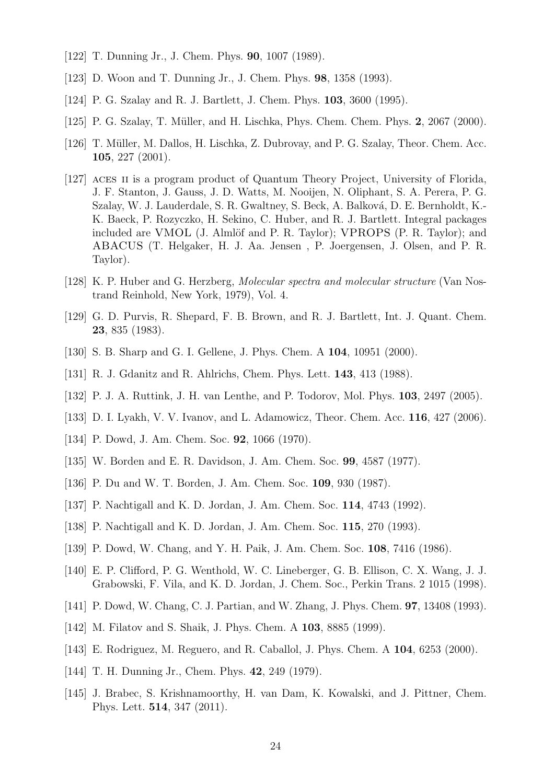- [122] T. Dunning Jr., J. Chem. Phys. 90, 1007 (1989).
- [123] D. Woon and T. Dunning Jr., J. Chem. Phys. 98, 1358 (1993).
- [124] P. G. Szalay and R. J. Bartlett, J. Chem. Phys. 103, 3600 (1995).
- [125] P. G. Szalay, T. M¨uller, and H. Lischka, Phys. Chem. Chem. Phys. 2, 2067 (2000).
- [126] T. Müller, M. Dallos, H. Lischka, Z. Dubrovay, and P. G. Szalay, Theor. Chem. Acc. 105, 227 (2001).
- [127] ACES II is a program product of Quantum Theory Project, University of Florida, J. F. Stanton, J. Gauss, J. D. Watts, M. Nooijen, N. Oliphant, S. A. Perera, P. G. Szalay, W. J. Lauderdale, S. R. Gwaltney, S. Beck, A. Balková, D. E. Bernholdt, K.-K. Baeck, P. Rozyczko, H. Sekino, C. Huber, and R. J. Bartlett. Integral packages included are VMOL (J. Almlöf and P. R. Taylor); VPROPS  $(P. R. Taylor)$ ; and ABACUS (T. Helgaker, H. J. Aa. Jensen , P. Joergensen, J. Olsen, and P. R. Taylor).
- [128] K. P. Huber and G. Herzberg, Molecular spectra and molecular structure (Van Nostrand Reinhold, New York, 1979), Vol. 4.
- [129] G. D. Purvis, R. Shepard, F. B. Brown, and R. J. Bartlett, Int. J. Quant. Chem. 23, 835 (1983).
- [130] S. B. Sharp and G. I. Gellene, J. Phys. Chem. A **104**, 10951 (2000).
- [131] R. J. Gdanitz and R. Ahlrichs, Chem. Phys. Lett. 143, 413 (1988).
- [132] P. J. A. Ruttink, J. H. van Lenthe, and P. Todorov, Mol. Phys. 103, 2497 (2005).
- [133] D. I. Lyakh, V. V. Ivanov, and L. Adamowicz, Theor. Chem. Acc. 116, 427 (2006).
- [134] P. Dowd, J. Am. Chem. Soc. **92**, 1066 (1970).
- [135] W. Borden and E. R. Davidson, J. Am. Chem. Soc. 99, 4587 (1977).
- [136] P. Du and W. T. Borden, J. Am. Chem. Soc. 109, 930 (1987).
- [137] P. Nachtigall and K. D. Jordan, J. Am. Chem. Soc. 114, 4743 (1992).
- [138] P. Nachtigall and K. D. Jordan, J. Am. Chem. Soc. 115, 270 (1993).
- [139] P. Dowd, W. Chang, and Y. H. Paik, J. Am. Chem. Soc. 108, 7416 (1986).
- [140] E. P. Clifford, P. G. Wenthold, W. C. Lineberger, G. B. Ellison, C. X. Wang, J. J. Grabowski, F. Vila, and K. D. Jordan, J. Chem. Soc., Perkin Trans. 2 1015 (1998).
- [141] P. Dowd, W. Chang, C. J. Partian, and W. Zhang, J. Phys. Chem. 97, 13408 (1993).
- [142] M. Filatov and S. Shaik, J. Phys. Chem. A **103**, 8885 (1999).
- [143] E. Rodriguez, M. Reguero, and R. Caballol, J. Phys. Chem. A 104, 6253 (2000).
- [144] T. H. Dunning Jr., Chem. Phys. **42**, 249 (1979).
- [145] J. Brabec, S. Krishnamoorthy, H. van Dam, K. Kowalski, and J. Pittner, Chem. Phys. Lett. 514, 347 (2011).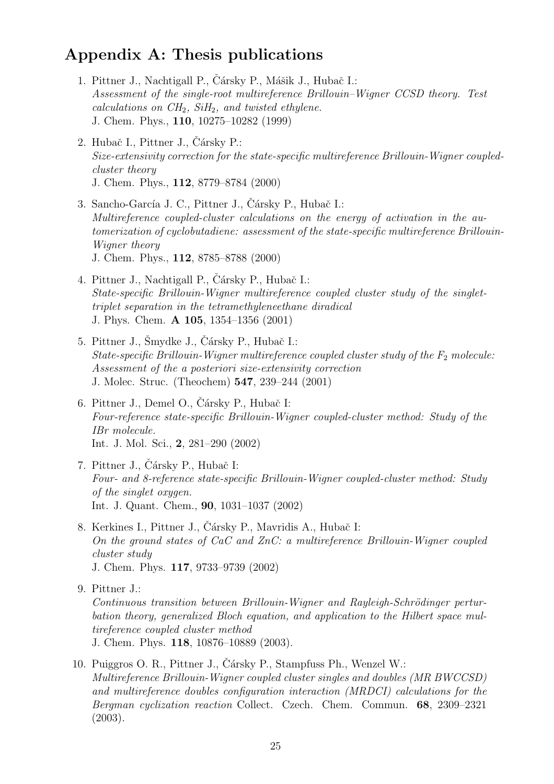## Appendix A: Thesis publications

- 1. Pittner J., Nachtigall P., Čársky P., Mášik J., Hubač I.: Assessment of the single-root multireference Brillouin–Wigner CCSD theory. Test calculations on  $CH_2$ ,  $SiH_2$ , and twisted ethylene. J. Chem. Phys., 110, 10275–10282 (1999)
- 2. Hubač I., Pittner J., Čársky P.: Size-extensivity correction for the state-specific multireference Brillouin-Wigner coupledcluster theory J. Chem. Phys., 112, 8779–8784 (2000)
- 3. Sancho-García J. C., Pittner J., Čársky P., Hubač I.: Multireference coupled-cluster calculations on the energy of activation in the automerization of cyclobutadiene: assessment of the state-specific multireference Brillouin-Wigner theory J. Chem. Phys., 112, 8785–8788 (2000)
- 4. Pittner J., Nachtigall P., Čársky P., Hubač I.: State-specific Brillouin-Wigner multireference coupled cluster study of the singlettriplet separation in the tetramethyleneethane diradical J. Phys. Chem. A 105, 1354–1356 (2001)
- 5. Pittner J., Šmydke J., Čársky P., Hubač I.: State-specific Brillouin-Wigner multireference coupled cluster study of the  $F_2$  molecule: Assessment of the a posteriori size-extensivity correction J. Molec. Struc. (Theochem) 547, 239–244 (2001)
- 6. Pittner J., Demel O., Čársky P., Hubač I: Four-reference state-specific Brillouin-Wigner coupled-cluster method: Study of the IBr molecule. Int. J. Mol. Sci., 2, 281–290 (2002)
- 7. Pittner J., Čársky P., Hubač I: Four- and 8-reference state-specific Brillouin-Wigner coupled-cluster method: Study of the singlet oxygen. Int. J. Quant. Chem., 90, 1031–1037 (2002)
- 8. Kerkines I., Pittner J., Čársky P., Mavridis A., Hubač I: On the ground states of CaC and ZnC: a multireference Brillouin-Wigner coupled cluster study J. Chem. Phys. 117, 9733–9739 (2002)
- 9. Pittner J.:

Continuous transition between Brillouin-Wigner and Rayleigh-Schrödinger perturbation theory, generalized Bloch equation, and application to the Hilbert space multireference coupled cluster method J. Chem. Phys. 118, 10876–10889 (2003).

10. Puiggros O. R., Pittner J., Čársky P., Stampfuss Ph., Wenzel W.: Multireference Brillouin-Wigner coupled cluster singles and doubles (MR BWCCSD) and multireference doubles configuration interaction (MRDCI) calculations for the Bergman cyclization reaction Collect. Czech. Chem. Commun. 68, 2309–2321 (2003).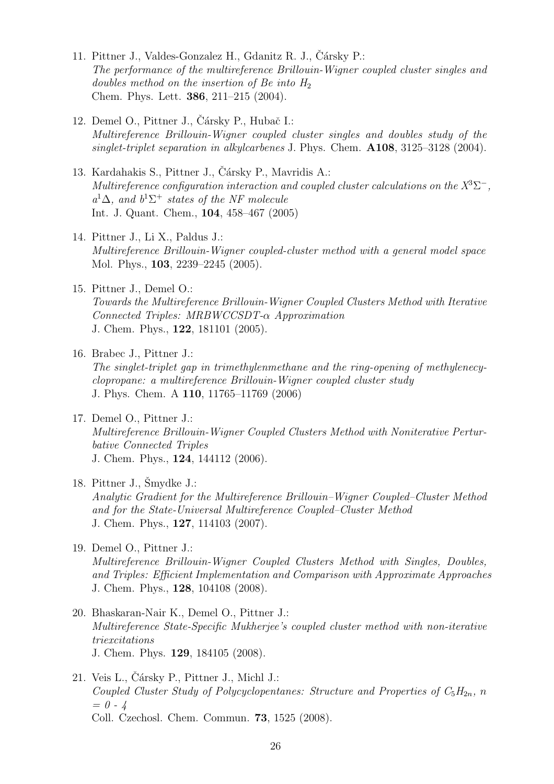- 11. Pittner J., Valdes-Gonzalez H., Gdanitz R. J., Čársky P.: The performance of the multireference Brillouin-Wigner coupled cluster singles and doubles method on the insertion of Be into  $H_2$ Chem. Phys. Lett. 386, 211–215 (2004).
- 12. Demel O., Pittner J., Čársky P., Hubač I.: Multireference Brillouin-Wigner coupled cluster singles and doubles study of the singlet-triplet separation in alkylcarbenes J. Phys. Chem. A108, 3125-3128 (2004).
- 13. Kardahakis S., Pittner J., Čársky P., Mavridis A.: Multireference configuration interaction and coupled cluster calculations on the  $X^3\Sigma^-$ ,  $a^1\Delta$ , and  $b^1\Sigma^+$  states of the NF molecule Int. J. Quant. Chem., 104, 458–467 (2005)
- 14. Pittner J., Li X., Paldus J.: Multireference Brillouin-Wigner coupled-cluster method with a general model space Mol. Phys., 103, 2239–2245 (2005).
- 15. Pittner J., Demel O.: Towards the Multireference Brillouin-Wigner Coupled Clusters Method with Iterative Connected Triples: MRBWCCSDT-α Approximation J. Chem. Phys., 122, 181101 (2005).
- 16. Brabec J., Pittner J.: The singlet-triplet gap in trimethylenmethane and the ring-opening of methylenecyclopropane: a multireference Brillouin-Wigner coupled cluster study J. Phys. Chem. A 110, 11765–11769 (2006)
- 17. Demel O., Pittner J.: Multireference Brillouin-Wigner Coupled Clusters Method with Noniterative Perturbative Connected Triples J. Chem. Phys., 124, 144112 (2006).
- 18. Pittner J.,  $\text{Smydke } J$ .: Analytic Gradient for the Multireference Brillouin–Wigner Coupled–Cluster Method and for the State-Universal Multireference Coupled–Cluster Method J. Chem. Phys., 127, 114103 (2007).
- 19. Demel O., Pittner J.: Multireference Brillouin-Wigner Coupled Clusters Method with Singles, Doubles, and Triples: Efficient Implementation and Comparison with Approximate Approaches J. Chem. Phys., 128, 104108 (2008).
- 20. Bhaskaran-Nair K., Demel O., Pittner J.: Multireference State-Specific Mukherjee's coupled cluster method with non-iterative triexcitations J. Chem. Phys. 129, 184105 (2008).
- $21.$  Veis L., Čársky P., Pittner J., Michl J.: Coupled Cluster Study of Polycyclopentanes: Structure and Properties of  $C_5H_{2n}$ , n  $= 0 - 4$ Coll. Czechosl. Chem. Commun. 73, 1525 (2008).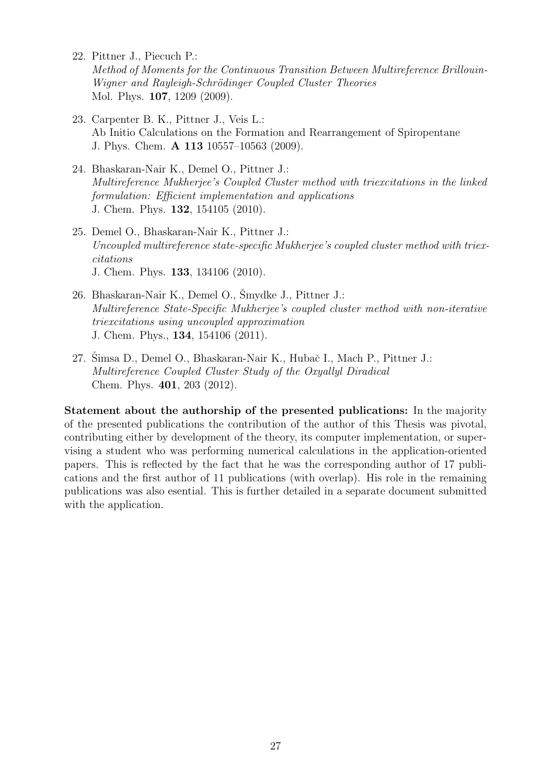- 22. Pittner J., Piecuch P.: Method of Moments for the Continuous Transition Between Multireference Brillouin-Wigner and Rayleigh-Schrödinger Coupled Cluster Theories Mol. Phys. 107, 1209 (2009).
- 23. Carpenter B. K., Pittner J., Veis L.: Ab Initio Calculations on the Formation and Rearrangement of Spiropentane J. Phys. Chem. A 113 10557–10563 (2009).
- 24. Bhaskaran-Nair K., Demel O., Pittner J.: Multireference Mukherjee's Coupled Cluster method with triexcitations in the linked formulation: Efficient implementation and applications J. Chem. Phys. 132, 154105 (2010).
- 25. Demel O., Bhaskaran-Nair K., Pittner J.: Uncoupled multireference state-specific Mukherjee's coupled cluster method with triexcitations J. Chem. Phys. 133, 134106 (2010).
- 26. Bhaskaran-Nair K., Demel O., Smydke J., Pittner J.: Multireference State-Specific Mukherjee's coupled cluster method with non-iterative triexcitations using uncoupled approximation J. Chem. Phys., 134, 154106 (2011).
- 27. Simsa D., Demel O., Bhaskaran-Nair K., Hubač I., Mach P., Pittner J.: Multireference Coupled Cluster Study of the Oxyallyl Diradical Chem. Phys. 401, 203 (2012).

Statement about the authorship of the presented publications: In the majority of the presented publications the contribution of the author of this Thesis was pivotal, contributing either by development of the theory, its computer implementation, or supervising a student who was performing numerical calculations in the application-oriented papers. This is reflected by the fact that he was the corresponding author of 17 publications and the first author of 11 publications (with overlap). His role in the remaining publications was also esential. This is further detailed in a separate document submitted with the application.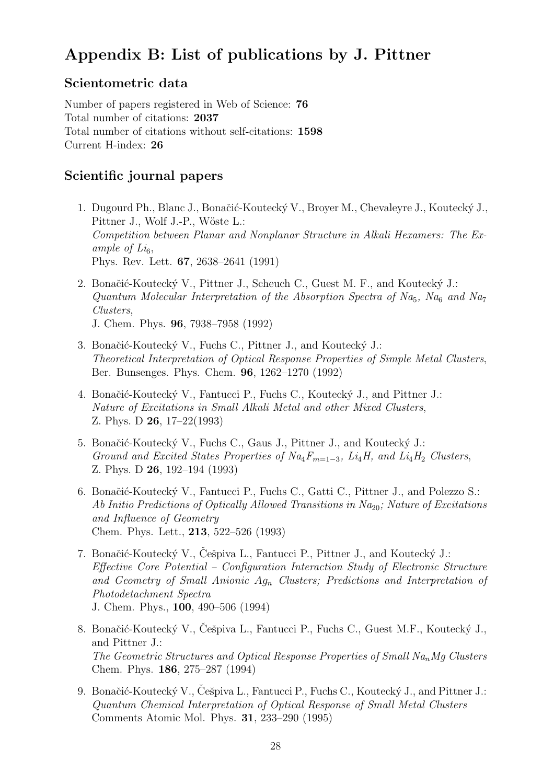## Appendix B: List of publications by J. Pittner

## Scientometric data

Number of papers registered in Web of Science: 76 Total number of citations: 2037 Total number of citations without self-citations: 1598 Current H-index: 26

### Scientific journal papers

- 1. Dugourd Ph., Blanc J., Bonačić-Koutecký V., Broyer M., Chevaleyre J., Koutecký J., Pittner J., Wolf J.-P., Wöste L.: Competition between Planar and Nonplanar Structure in Alkali Hexamers: The Example of  $Li_6$ , Phys. Rev. Lett. 67, 2638–2641 (1991)
- 2. Bonačić-Koutecký V., Pittner J., Scheuch C., Guest M. F., and Koutecký J.: Quantum Molecular Interpretation of the Absorption Spectra of  $Na<sub>5</sub>$ , Na<sub>6</sub> and Na<sub>7</sub> Clusters, J. Chem. Phys. 96, 7938–7958 (1992)
- 3. Bonačić-Koutecký V., Fuchs C., Pittner J., and Koutecký J.: Theoretical Interpretation of Optical Response Properties of Simple Metal Clusters, Ber. Bunsenges. Phys. Chem. 96, 1262–1270 (1992)
- 4. Bonačić-Koutecký V., Fantucci P., Fuchs C., Koutecký J., and Pittner J.: Nature of Excitations in Small Alkali Metal and other Mixed Clusters, Z. Phys. D 26, 17–22(1993)
- 5. Bonačić-Koutecký V., Fuchs C., Gaus J., Pittner J., and Koutecký J.: Ground and Excited States Properties of  $Na_4F_{m=1-3}$ , Li<sub>4</sub>H, and Li<sub>4</sub>H<sub>2</sub> Clusters, Z. Phys. D 26, 192–194 (1993)
- 6. Bonačić-Koutecký V., Fantucci P., Fuchs C., Gatti C., Pittner J., and Polezzo S.: Ab Initio Predictions of Optically Allowed Transitions in  $Na<sub>20</sub>$ ; Nature of Excitations and Influence of Geometry Chem. Phys. Lett., 213, 522–526 (1993)
- 7. Bonačić-Koutecký V., Cešpiva L., Fantucci P., Pittner J., and Koutecký J.: Effective Core Potential – Configuration Interaction Study of Electronic Structure and Geometry of Small Anionic  $Ag_n$  Clusters; Predictions and Interpretation of Photodetachment Spectra J. Chem. Phys., 100, 490–506 (1994)
- 8. Bonačić-Koutecký V., Češpiva L., Fantucci P., Fuchs C., Guest M.F., Koutecký J., and Pittner J.: The Geometric Structures and Optical Response Properties of Small Na<sub>n</sub>Mg Clusters Chem. Phys. 186, 275–287 (1994)
- 9. Bonačić-Koutecký V., Češpiva L., Fantucci P., Fuchs C., Koutecký J., and Pittner J.: Quantum Chemical Interpretation of Optical Response of Small Metal Clusters Comments Atomic Mol. Phys. 31, 233–290 (1995)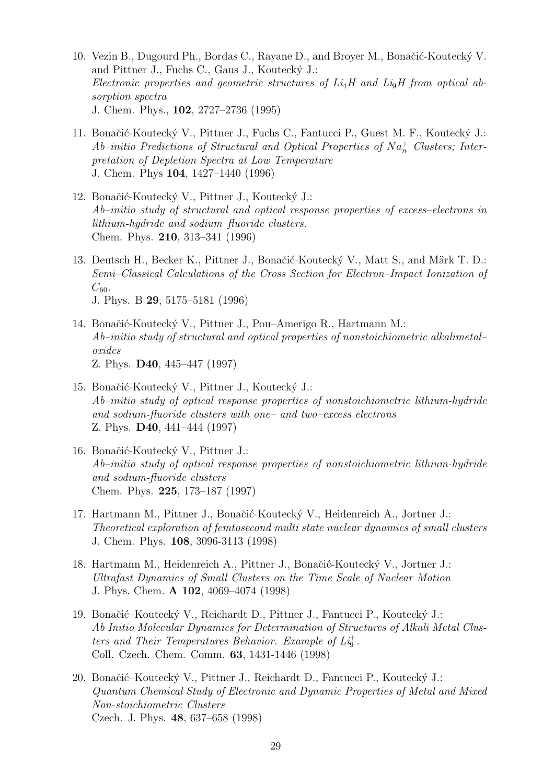- 10. Vezin B., Dugourd Ph., Bordas C., Rayane D., and Broyer M., Bonačić-Koutecký V. and Pittner J., Fuchs C., Gaus J., Koutecký J.: Electronic properties and geometric structures of  $Li<sub>4</sub>H$  and  $Li<sub>9</sub>H$  from optical absorption spectra J. Chem. Phys., 102, 2727–2736 (1995)
- 11. Bonačić-Koutecký V., Pittner J., Fuchs C., Fantucci P., Guest M. F., Koutecký J.:  $Ab\text{-}initio\,\,Predictions\,\,of\,\,Structural\,\,and\,\,Optical\,\,Properties\,\,of\,\,Na_n^+\,\, \,Clusters;\,\,Inter$ pretation of Depletion Spectra at Low Temperature J. Chem. Phys 104, 1427–1440 (1996)
- 12. Bonačić-Koutecký V., Pittner J., Koutecký J.: Ab–initio study of structural and optical response properties of excess–electrons in lithium-hydride and sodium–fluoride clusters. Chem. Phys. 210, 313–341 (1996)
- 13. Deutsch H., Becker K., Pittner J., Bonačić-Koutecký V., Matt S., and Märk T. D.: Semi–Classical Calculations of the Cross Section for Electron–Impact Ionization of  $C_{60}$ . J. Phys. B 29, 5175–5181 (1996)
- 14. Bonačić-Koutecký V., Pittner J., Pou–Amerigo R., Hartmann M.: Ab–initio study of structural and optical properties of nonstoichiometric alkalimetal– oxides Z. Phys. D40, 445–447 (1997)
- 15. Bonačić-Koutecký V., Pittner J., Koutecký J.: Ab–initio study of optical response properties of nonstoichiometric lithium-hydride and sodium-fluoride clusters with one– and two–excess electrons Z. Phys. D40, 441–444 (1997)
- 16. Bonačić-Koutecký V., Pittner J.: Ab–initio study of optical response properties of nonstoichiometric lithium-hydride and sodium-fluoride clusters Chem. Phys. 225, 173–187 (1997)
- 17. Hartmann M., Pittner J., Bonačić-Koutecký V., Heidenreich A., Jortner J.: Theoretical exploration of femtosecond multi state nuclear dynamics of small clusters J. Chem. Phys. 108, 3096-3113 (1998)
- 18. Hartmann M., Heidenreich A., Pittner J., Bonačić-Koutecký V., Jortner J.: Ultrafast Dynamics of Small Clusters on the Time Scale of Nuclear Motion J. Phys. Chem. A 102, 4069–4074 (1998)
- 19. Bonačić–Koutecký V., Reichardt D., Pittner J., Fantucci P., Koutecký J.: Ab Initio Molecular Dynamics for Determination of Structures of Alkali Metal Clusters and Their Temperatures Behavior. Example of  $Li<sub>9</sub>$ . Coll. Czech. Chem. Comm. 63, 1431-1446 (1998)
- 20. Bonačić–Koutecký V., Pittner J., Reichardt D., Fantucci P., Koutecký J.: Quantum Chemical Study of Electronic and Dynamic Properties of Metal and Mixed Non-stoichiometric Clusters Czech. J. Phys. 48, 637–658 (1998)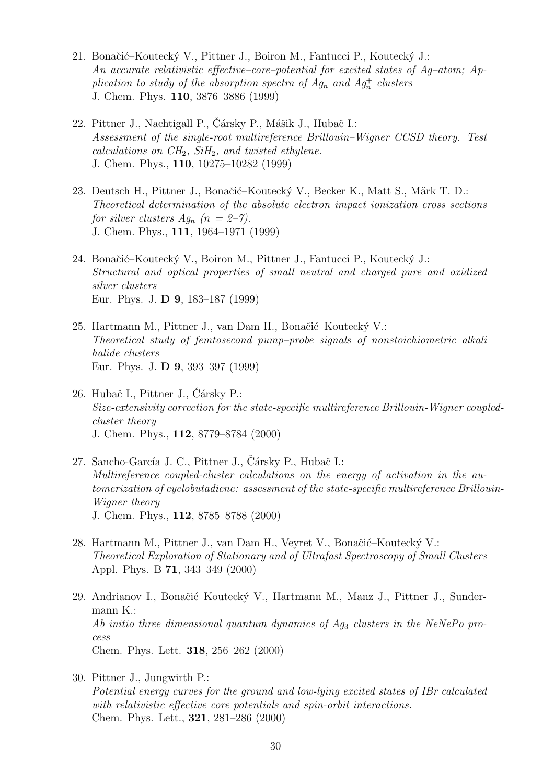- 21. Bonačić–Koutecký V., Pittner J., Boiron M., Fantucci P., Koutecký J.: An accurate relativistic effective–core–potential for excited states of Ag–atom; Application to study of the absorption spectra of  $Ag_n$  and  $Ag_n^+$  clusters J. Chem. Phys. 110, 3876–3886 (1999)
- 22. Pittner J., Nachtigall P., Čársky P., Mášik J., Hubač I.: Assessment of the single-root multireference Brillouin–Wigner CCSD theory. Test calculations on  $CH_2$ ,  $SiH_2$ , and twisted ethylene. J. Chem. Phys., 110, 10275–10282 (1999)
- 23. Deutsch H., Pittner J., Bonačić–Koutecký V., Becker K., Matt S., Märk T. D.: Theoretical determination of the absolute electron impact ionization cross sections for silver clusters  $Ag_n$   $(n = 2-7)$ . J. Chem. Phys., 111, 1964–1971 (1999)
- 24. Bonačić–Koutecký V., Boiron M., Pittner J., Fantucci P., Koutecký J.: Structural and optical properties of small neutral and charged pure and oxidized silver clusters Eur. Phys. J. D 9, 183–187 (1999)
- 25. Hartmann M., Pittner J., van Dam H., Bonačić–Koutecký V.: Theoretical study of femtosecond pump–probe signals of nonstoichiometric alkali halide clusters Eur. Phys. J. D 9, 393–397 (1999)
- 26. Hubač I., Pittner J., Cársky P.: Size-extensivity correction for the state-specific multireference Brillouin-Wigner coupledcluster theory J. Chem. Phys., 112, 8779–8784 (2000)
- 27. Sancho-García J. C., Pittner J., Čársky P., Hubač I.: Multireference coupled-cluster calculations on the energy of activation in the automerization of cyclobutadiene: assessment of the state-specific multireference Brillouin-Wigner theory J. Chem. Phys., 112, 8785–8788 (2000)
- 28. Hartmann M., Pittner J., van Dam H., Veyret V., Bonačić–Koutecký V.: Theoretical Exploration of Stationary and of Ultrafast Spectroscopy of Small Clusters Appl. Phys. B 71, 343–349 (2000)
- 29. Andrianov I., Bonačić–Koutecký V., Hartmann M., Manz J., Pittner J., Sundermann K.: Ab initio three dimensional quantum dynamics of  $Ag_3$  clusters in the NeNePo process Chem. Phys. Lett. 318, 256–262 (2000)
- 30. Pittner J., Jungwirth P.: Potential energy curves for the ground and low-lying excited states of IBr calculated with relativistic effective core potentials and spin-orbit interactions. Chem. Phys. Lett., 321, 281–286 (2000)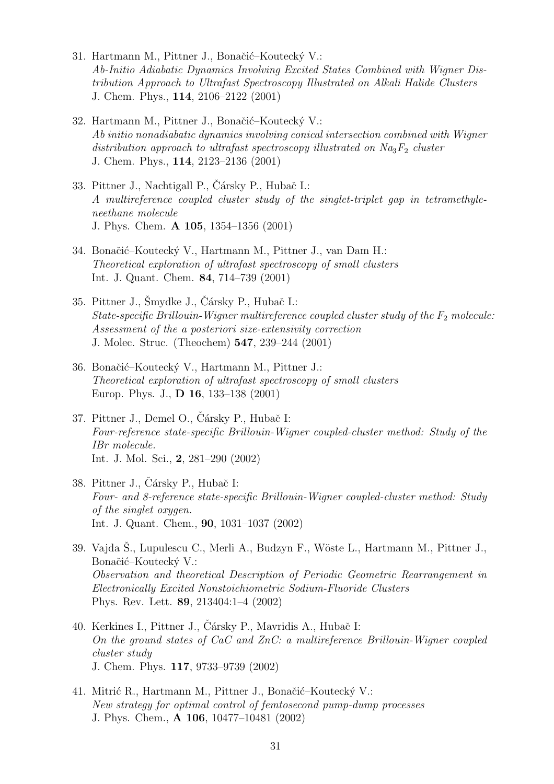- 31. Hartmann M., Pittner J., Bonačić–Koutecký V.: Ab-Initio Adiabatic Dynamics Involving Excited States Combined with Wigner Distribution Approach to Ultrafast Spectroscopy Illustrated on Alkali Halide Clusters J. Chem. Phys., 114, 2106–2122 (2001)
- 32. Hartmann M., Pittner J., Bonačić–Koutecký V.: Ab initio nonadiabatic dynamics involving conical intersection combined with Wigner distribution approach to ultrafast spectroscopy illustrated on  $Na<sub>3</sub>F<sub>2</sub>$  cluster J. Chem. Phys., 114, 2123–2136 (2001)
- 33. Pittner J., Nachtigall P., Cársky P., Hubač I.: A multireference coupled cluster study of the singlet-triplet gap in tetramethyleneethane molecule J. Phys. Chem. A 105, 1354–1356 (2001)
- 34. Bonačić–Koutecký V., Hartmann M., Pittner J., van Dam H.: Theoretical exploration of ultrafast spectroscopy of small clusters Int. J. Quant. Chem. 84, 714–739 (2001)
- 35. Pittner J., Šmydke J., Čársky P., Hubač I.: State-specific Brillouin-Wigner multireference coupled cluster study of the  $F_2$  molecule: Assessment of the a posteriori size-extensivity correction J. Molec. Struc. (Theochem) 547, 239–244 (2001)
- 36. Bonačić–Koutecký V., Hartmann M., Pittner J.: Theoretical exploration of ultrafast spectroscopy of small clusters Europ. Phys. J., D 16, 133–138 (2001)
- 37. Pittner J., Demel O., Čársky P., Hubač I: Four-reference state-specific Brillouin-Wigner coupled-cluster method: Study of the IBr molecule. Int. J. Mol. Sci., 2, 281–290 (2002)
- 38. Pittner J., Čársky P., Hubač I: Four- and 8-reference state-specific Brillouin-Wigner coupled-cluster method: Study of the singlet oxygen. Int. J. Quant. Chem., 90, 1031–1037 (2002)
- 39. Vajda Š., Lupulescu C., Merli A., Budzyn F., Wöste L., Hartmann M., Pittner J., Bonačić–Koutecký V.: Observation and theoretical Description of Periodic Geometric Rearrangement in Electronically Excited Nonstoichiometric Sodium-Fluoride Clusters Phys. Rev. Lett. 89, 213404:1–4 (2002)
- 40. Kerkines I., Pittner J., Čársky P., Mavridis A., Hubač I: On the ground states of CaC and ZnC: a multireference Brillouin-Wigner coupled cluster study J. Chem. Phys. 117, 9733–9739 (2002)
- 41. Mitrić R., Hartmann M., Pittner J., Bonačić–Koutecký V.: New strategy for optimal control of femtosecond pump-dump processes J. Phys. Chem., A 106, 10477–10481 (2002)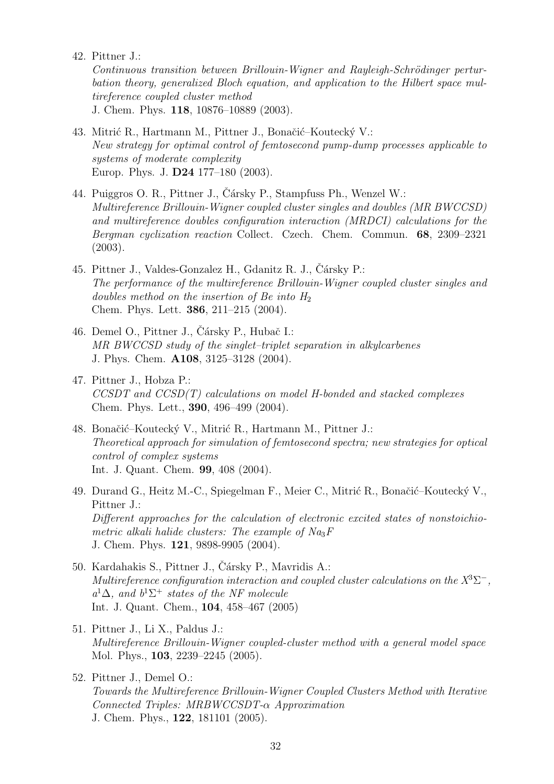42. Pittner J.:

Continuous transition between Brillouin-Wigner and Rayleigh-Schrödinger perturbation theory, generalized Bloch equation, and application to the Hilbert space multireference coupled cluster method

J. Chem. Phys. 118, 10876–10889 (2003).

- 43. Mitrić R., Hartmann M., Pittner J., Bonačić–Koutecký V.: New strategy for optimal control of femtosecond pump-dump processes applicable to systems of moderate complexity Europ. Phys. J. D24 177–180 (2003).
- 44. Puiggros O. R., Pittner J., Čársky P., Stampfuss Ph., Wenzel W.: Multireference Brillouin-Wigner coupled cluster singles and doubles (MR BWCCSD) and multireference doubles configuration interaction (MRDCI) calculations for the Bergman cyclization reaction Collect. Czech. Chem. Commun. 68, 2309–2321 (2003).
- 45. Pittner J., Valdes-Gonzalez H., Gdanitz R. J., Čársky P.: The performance of the multireference Brillouin-Wigner coupled cluster singles and doubles method on the insertion of Be into  $H_2$ Chem. Phys. Lett. 386, 211–215 (2004).
- 46. Demel O., Pittner J., Čársky P., Hubač I.: MR BWCCSD study of the singlet–triplet separation in alkylcarbenes J. Phys. Chem. A108, 3125–3128 (2004).
- 47. Pittner J., Hobza P.:  $CCSDT$  and  $CCSD(T)$  calculations on model H-bonded and stacked complexes Chem. Phys. Lett., 390, 496–499 (2004).
- 48. Bonačić–Koutecký V., Mitrić R., Hartmann M., Pittner J.: Theoretical approach for simulation of femtosecond spectra; new strategies for optical control of complex systems Int. J. Quant. Chem. 99, 408 (2004).
- 49. Durand G., Heitz M.-C., Spiegelman F., Meier C., Mitrić R., Bonačić–Koutecký V., Pittner J.: Different approaches for the calculation of electronic excited states of nonstoichiometric alkali halide clusters: The example of  $Na<sub>3</sub>F$ J. Chem. Phys. 121, 9898-9905 (2004).
- 50. Kardahakis S., Pittner J., Čársky P., Mavridis A.: Multireference configuration interaction and coupled cluster calculations on the  $X^3\Sigma^-$ ,  $a^1\Delta$ , and  $b^1\Sigma^+$  states of the NF molecule Int. J. Quant. Chem., 104, 458–467 (2005)
- 51. Pittner J., Li X., Paldus J.: Multireference Brillouin-Wigner coupled-cluster method with a general model space Mol. Phys., 103, 2239–2245 (2005).
- 52. Pittner J., Demel O.: Towards the Multireference Brillouin-Wigner Coupled Clusters Method with Iterative Connected Triples: MRBWCCSDT-α Approximation J. Chem. Phys., 122, 181101 (2005).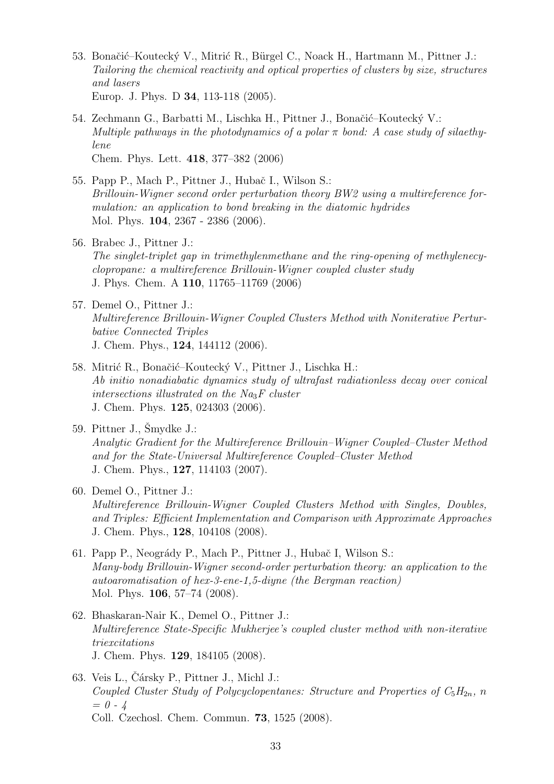- 53. Bonačić–Koutecký V., Mitrić R., Bürgel C., Noack H., Hartmann M., Pittner J.: Tailoring the chemical reactivity and optical properties of clusters by size, structures and lasers Europ. J. Phys. D 34, 113-118 (2005).
- 54. Zechmann G., Barbatti M., Lischka H., Pittner J., Bonačić–Koutecký V.: Multiple pathways in the photodynamics of a polar  $\pi$  bond: A case study of silaethylene Chem. Phys. Lett. 418, 377–382 (2006)
- 55. Papp P., Mach P., Pittner J., Hubač I., Wilson S.: Brillouin-Wigner second order perturbation theory BW2 using a multireference formulation: an application to bond breaking in the diatomic hydrides Mol. Phys. 104, 2367 - 2386 (2006).
- 56. Brabec J., Pittner J.: The singlet-triplet gap in trimethylenmethane and the ring-opening of methylenecyclopropane: a multireference Brillouin-Wigner coupled cluster study J. Phys. Chem. A 110, 11765–11769 (2006)
- 57. Demel O., Pittner J.: Multireference Brillouin-Wigner Coupled Clusters Method with Noniterative Perturbative Connected Triples J. Chem. Phys., 124, 144112 (2006).
- 58. Mitrić R., Bonačić–Koutecký V., Pittner J., Lischka H.: Ab initio nonadiabatic dynamics study of ultrafast radiationless decay over conical intersections illustrated on the  $N_{a3}F$  cluster J. Chem. Phys. 125, 024303 (2006).
- $59.$  Pittner J., Šmydke J.: Analytic Gradient for the Multireference Brillouin–Wigner Coupled–Cluster Method and for the State-Universal Multireference Coupled–Cluster Method J. Chem. Phys., 127, 114103 (2007).
- 60. Demel O., Pittner J.: Multireference Brillouin-Wigner Coupled Clusters Method with Singles, Doubles, and Triples: Efficient Implementation and Comparison with Approximate Approaches J. Chem. Phys., 128, 104108 (2008).
- 61. Papp P., Neogrády P., Mach P., Pittner J., Hubač I, Wilson S.: Many-body Brillouin-Wigner second-order perturbation theory: an application to the autoaromatisation of hex-3-ene-1,5-diyne (the Bergman reaction) Mol. Phys. 106, 57–74 (2008).
- 62. Bhaskaran-Nair K., Demel O., Pittner J.: Multireference State-Specific Mukherjee's coupled cluster method with non-iterative triexcitations J. Chem. Phys. 129, 184105 (2008).
- 63. Veis L., Čársky P., Pittner J., Michl J.: Coupled Cluster Study of Polycyclopentanes: Structure and Properties of  $C_5H_{2n}$ , n  $= 0 - 4$ Coll. Czechosl. Chem. Commun. 73, 1525 (2008).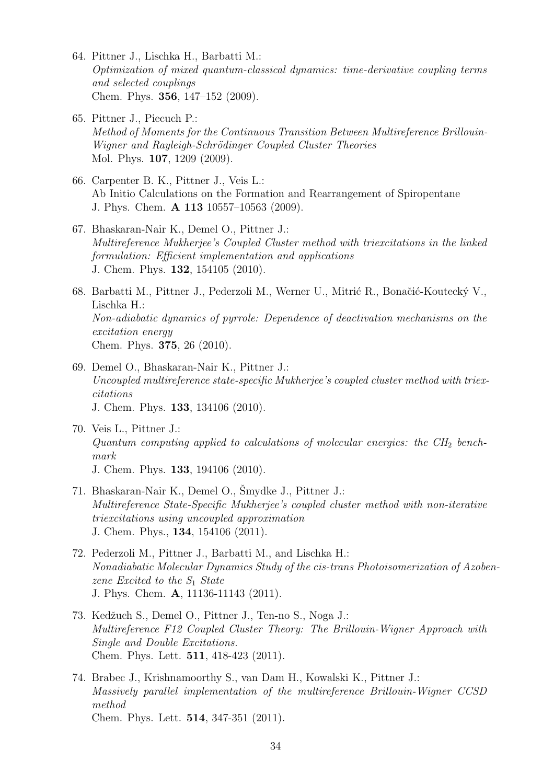- 64. Pittner J., Lischka H., Barbatti M.: Optimization of mixed quantum-classical dynamics: time-derivative coupling terms and selected couplings Chem. Phys. 356, 147–152 (2009).
- 65. Pittner J., Piecuch P.: Method of Moments for the Continuous Transition Between Multireference Brillouin-Wigner and Rayleigh-Schrödinger Coupled Cluster Theories Mol. Phys. 107, 1209 (2009).
- 66. Carpenter B. K., Pittner J., Veis L.: Ab Initio Calculations on the Formation and Rearrangement of Spiropentane J. Phys. Chem. A 113 10557–10563 (2009).
- 67. Bhaskaran-Nair K., Demel O., Pittner J.: Multireference Mukherjee's Coupled Cluster method with triexcitations in the linked formulation: Efficient implementation and applications J. Chem. Phys. 132, 154105 (2010).
- 68. Barbatti M., Pittner J., Pederzoli M., Werner U., Mitrić R., Bonačić-Koutecký V., Lischka H.: Non-adiabatic dynamics of pyrrole: Dependence of deactivation mechanisms on the excitation energy Chem. Phys. 375, 26 (2010).
- 69. Demel O., Bhaskaran-Nair K., Pittner J.: Uncoupled multireference state-specific Mukherjee's coupled cluster method with triexcitations J. Chem. Phys. 133, 134106 (2010).
- 70. Veis L., Pittner J.: Quantum computing applied to calculations of molecular energies: the  $CH<sub>2</sub>$  benchmark J. Chem. Phys. 133, 194106 (2010).
- 71. Bhaskaran-Nair K., Demel O., Smydke J., Pittner J.: Multireference State-Specific Mukherjee's coupled cluster method with non-iterative triexcitations using uncoupled approximation J. Chem. Phys., 134, 154106 (2011).
- 72. Pederzoli M., Pittner J., Barbatti M., and Lischka H.: Nonadiabatic Molecular Dynamics Study of the cis-trans Photoisomerization of Azobenzene Excited to the  $S_1$  State J. Phys. Chem. A, 11136-11143 (2011).
- 73. Kedžuch S., Demel O., Pittner J., Ten-no S., Noga J.: Multireference F12 Coupled Cluster Theory: The Brillouin-Wigner Approach with Single and Double Excitations. Chem. Phys. Lett. 511, 418-423 (2011).
- 74. Brabec J., Krishnamoorthy S., van Dam H., Kowalski K., Pittner J.: Massively parallel implementation of the multireference Brillouin-Wigner CCSD method Chem. Phys. Lett. 514, 347-351 (2011).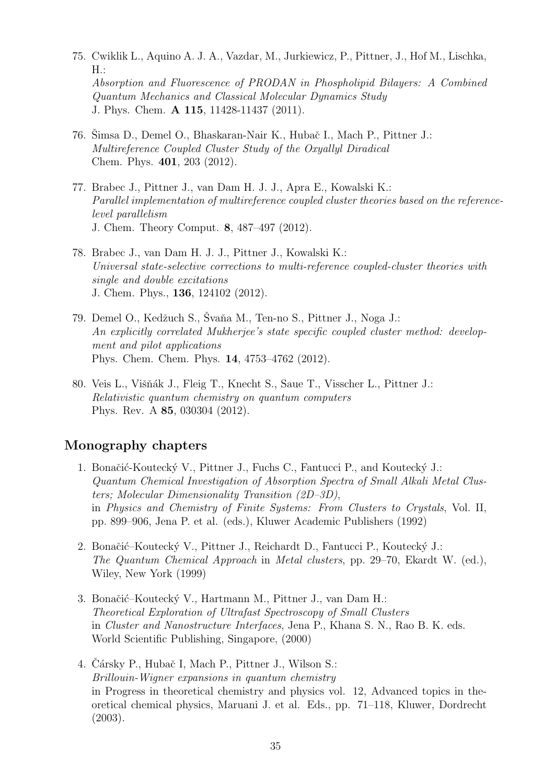- 75. Cwiklik L., Aquino A. J. A., Vazdar, M., Jurkiewicz, P., Pittner, J., Hof M., Lischka,  $H$ .: Absorption and Fluorescence of PRODAN in Phospholipid Bilayers: A Combined Quantum Mechanics and Classical Molecular Dynamics Study J. Phys. Chem. A 115, 11428-11437 (2011).
- 76. Šimsa D., Demel O., Bhaskaran-Nair K., Hubač I., Mach P., Pittner J.: Multireference Coupled Cluster Study of the Oxyallyl Diradical Chem. Phys. 401, 203 (2012).
- 77. Brabec J., Pittner J., van Dam H. J. J., Apra E., Kowalski K.: Parallel implementation of multireference coupled cluster theories based on the referencelevel parallelism J. Chem. Theory Comput. 8, 487–497 (2012).
- 78. Brabec J., van Dam H. J. J., Pittner J., Kowalski K.: Universal state-selective corrections to multi-reference coupled-cluster theories with single and double excitations J. Chem. Phys., 136, 124102 (2012).
- 79. Demel O., Kedžuch S., Švaňa M., Ten-no S., Pittner J., Noga J.: An explicitly correlated Mukherjee's state specific coupled cluster method: development and pilot applications Phys. Chem. Chem. Phys. 14, 4753–4762 (2012).
- 80. Veis L., Višňák J., Fleig T., Knecht S., Saue T., Visscher L., Pittner J.: Relativistic quantum chemistry on quantum computers Phys. Rev. A 85, 030304 (2012).

### Monography chapters

- 1. Bonačić-Koutecký V., Pittner J., Fuchs C., Fantucci P., and Koutecký J.: Quantum Chemical Investigation of Absorption Spectra of Small Alkali Metal Clusters; Molecular Dimensionality Transition (2D–3D), in Physics and Chemistry of Finite Systems: From Clusters to Crystals, Vol. II, pp. 899–906, Jena P. et al. (eds.), Kluwer Academic Publishers (1992)
- 2. Bonačić–Koutecký V., Pittner J., Reichardt D., Fantucci P., Koutecký J.: The Quantum Chemical Approach in Metal clusters, pp. 29–70, Ekardt W. (ed.), Wiley, New York (1999)
- 3. Bonačić–Koutecký V., Hartmann M., Pittner J., van Dam H.: Theoretical Exploration of Ultrafast Spectroscopy of Small Clusters in Cluster and Nanostructure Interfaces, Jena P., Khana S. N., Rao B. K. eds. World Scientific Publishing, Singapore, (2000)
- 4. Čársky P., Hubač I, Mach P., Pittner J., Wilson S.: Brillouin-Wigner expansions in quantum chemistry in Progress in theoretical chemistry and physics vol. 12, Advanced topics in theoretical chemical physics, Maruani J. et al. Eds., pp. 71–118, Kluwer, Dordrecht (2003).